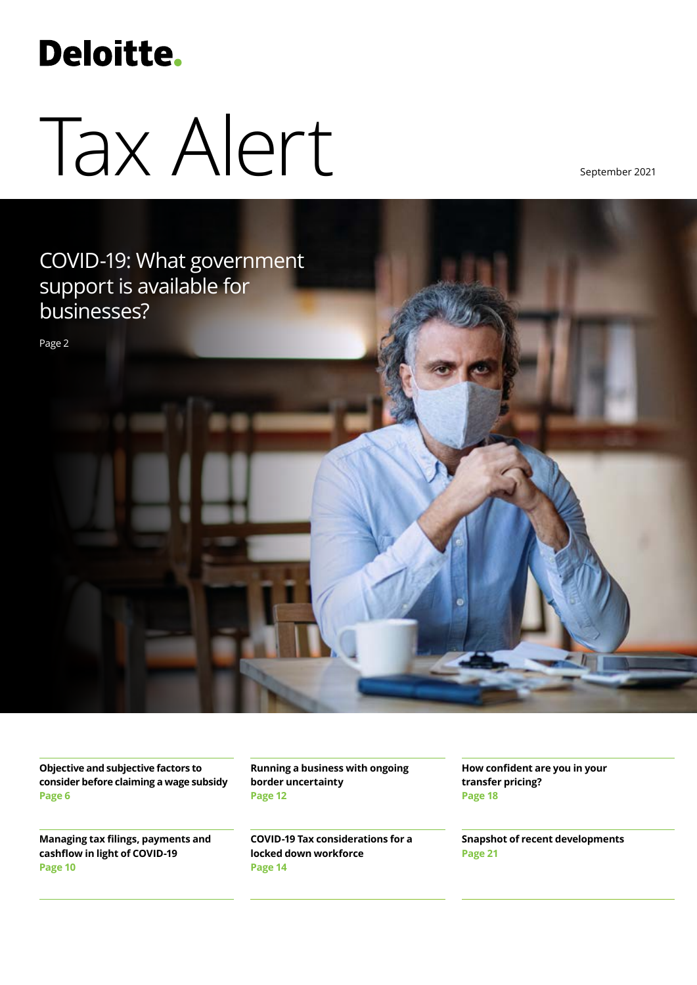# **Deloitte.**

# Tax Alert

September 2021



**Objective and subjective factors to consider before claiming a wage subsidy [Page](#page-5-0) 6**

**Managing tax filings, payments and cashflow in light of COVID-19 [Page](#page-13-0) 10**

**Running a business with ongoing border uncertainty Page 12**

**COVID-19 Tax considerations for a locked down workforce [Page 1](#page-9-0)4**

**How confident are you in your transfer pricing? [Page 18](#page-17-0)**

**Snapshot of recent developments Page 21**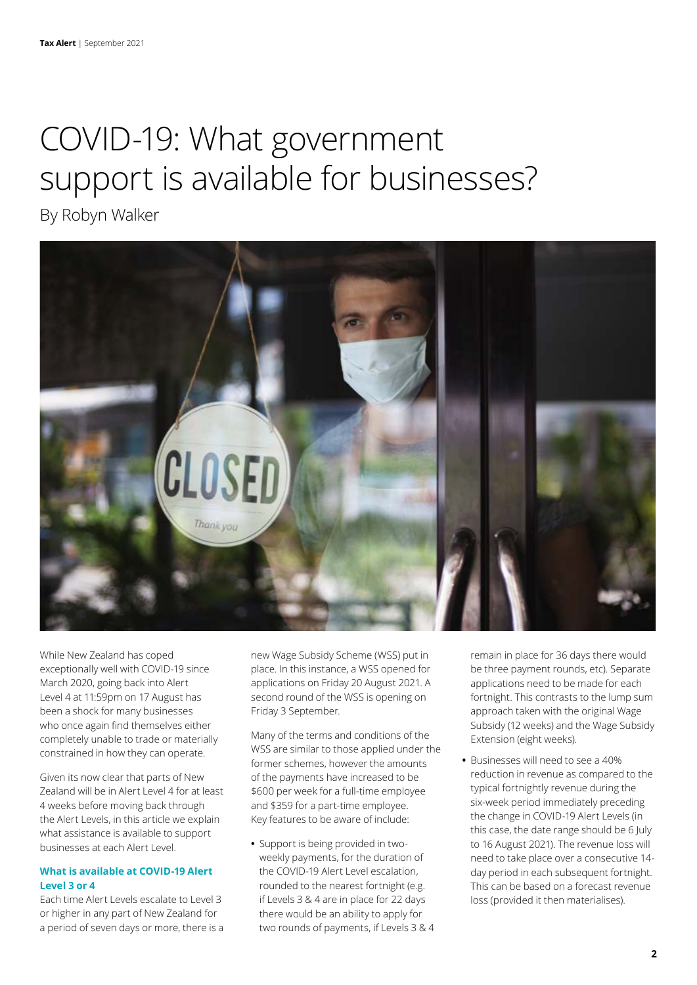# COVID-19: What government support is available for businesses?

By Robyn Walker



While New Zealand has coped exceptionally well with COVID-19 since March 2020, going back into Alert Level 4 at 11:59pm on 17 August has been a shock for many businesses who once again find themselves either completely unable to trade or materially constrained in how they can operate.

Given its now clear that parts of New Zealand will be in Alert Level 4 for at least 4 weeks before moving back through the Alert Levels, in this article we explain what assistance is available to support businesses at each Alert Level.

# **What is available at COVID-19 Alert Level 3 or 4**

Each time Alert Levels escalate to Level 3 or higher in any part of New Zealand for a period of seven days or more, there is a new Wage Subsidy Scheme (WSS) put in place. In this instance, a WSS opened for applications on Friday 20 August 2021. A second round of the WSS is opening on Friday 3 September.

Many of the terms and conditions of the WSS are similar to those applied under the former schemes, however the amounts of the payments have increased to be \$600 per week for a full-time employee and \$359 for a part-time employee. Key features to be aware of include:

**•** Support is being provided in twoweekly payments, for the duration of the COVID-19 Alert Level escalation, rounded to the nearest fortnight (e.g. if Levels 3 & 4 are in place for 22 days there would be an ability to apply for two rounds of payments, if Levels 3 & 4 remain in place for 36 days there would be three payment rounds, etc). Separate applications need to be made for each fortnight. This contrasts to the lump sum approach taken with the original Wage Subsidy (12 weeks) and the Wage Subsidy Extension (eight weeks).

**•** Businesses will need to see a 40% reduction in revenue as compared to the typical fortnightly revenue during the six-week period immediately preceding the change in COVID-19 Alert Levels (in this case, the date range should be 6 July to 16 August 2021). The revenue loss will need to take place over a consecutive 14 day period in each subsequent fortnight. This can be based on a forecast revenue loss (provided it then materialises).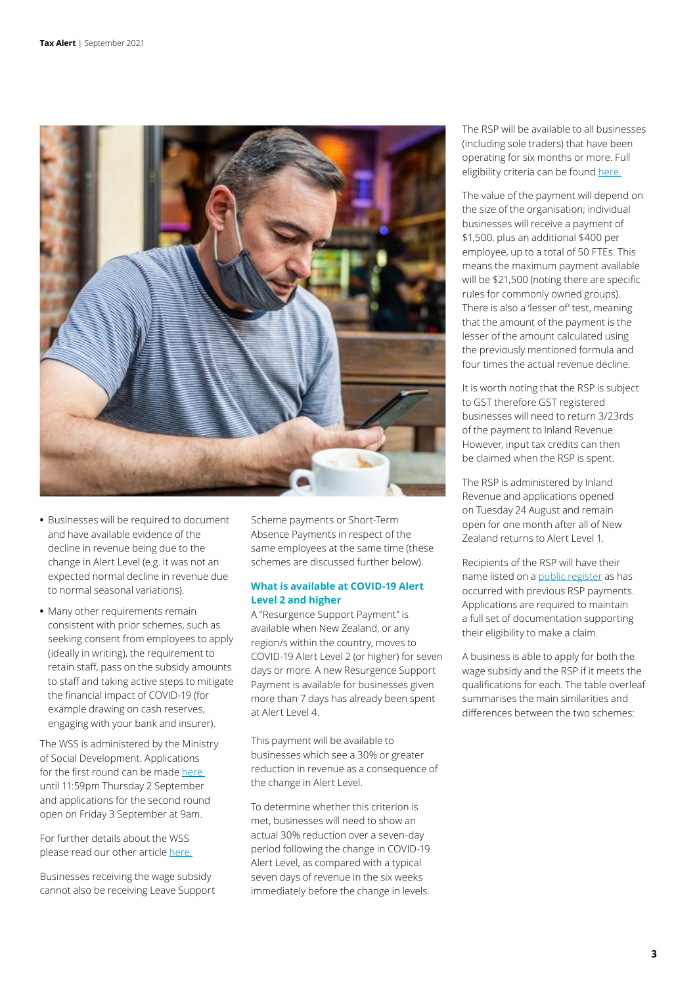

- **•** Businesses will be required to document and have available evidence of the decline in revenue being due to the change in Alert Level (e.g. it was not an expected normal decline in revenue due to normal seasonal variations).
- **•** Many other requirements remain consistent with prior schemes, such as seeking consent from employees to apply (ideally in writing), the requirement to retain staff, pass on the subsidy amounts to staff and taking active steps to mitigate the financial impact of COVID-19 (for example drawing on cash reserves, engaging with your bank and insurer).

The WSS is administered by the Ministry of Social Development. Applications for the first round can be made here until 11:59pm Thursday 2 September and applications for the second round open on Friday 3 September at 9am.

For further details about the WSS please read our other article [here.](https://www2.deloitte.com/nz/en/pages/tax/articles/considerations-in-relation-to-the-wage-subsidy.html)

Businesses receiving the wage subsidy cannot also be receiving Leave Support Scheme payments or Short-Term Absence Payments in respect of the same employees at the same time (these schemes are discussed further below).

# **What is available at COVID-19 Alert Level 2 and higher**

A "Resurgence Support Payment" is available when New Zealand, or any region/s within the country, moves to COVID-19 Alert Level 2 (or higher) for seven days or more. A new Resurgence Support Payment is available for businesses given more than 7 days has already been spent at Alert Level 4.

This payment will be available to businesses which see a 30% or greater reduction in revenue as a consequence of the change in Alert Level.

To determine whether this criterion is met, businesses will need to show an actual 30% reduction over a seven-day period following the change in COVID-19 Alert Level, as compared with a typical seven days of revenue in the six weeks immediately before the change in levels. The RSP will be available to all businesses (including sole traders) that have been operating for six months or more. Full eligibility criteria can be found [here.](https://www.ird.govt.nz/covid-19/business-and-organisations/resurgence-support-payment/eligibility)

The value of the payment will depend on the size of the organisation; individual businesses will receive a payment of \$1,500, plus an additional \$400 per employee, up to a total of 50 FTEs. This means the maximum payment available will be \$21,500 (noting there are specific rules for commonly owned groups). There is also a 'lesser of' test, meaning that the amount of the payment is the lesser of the amount calculated using the previously mentioned formula and four times the actual revenue decline.

It is worth noting that the RSP is subject to GST therefore GST registered businesses will need to return 3/23rds of the payment to Inland Revenue. However, input tax credits can then be claimed when the RSP is spent.

The RSP is administered by Inland Revenue and applications opened on Tuesday 24 August and remain open for one month after all of New Zealand returns to Alert Level 1.

Recipients of the RSP will have their name listed on a [public register](https://myir.ird.govt.nz/eservices/home/_/) as has occurred with previous RSP payments. Applications are required to maintain a full set of documentation supporting their eligibility to make a claim.

A business is able to apply for both the wage subsidy and the RSP if it meets the qualifications for each. The table overleaf summarises the main similarities and differences between the two schemes: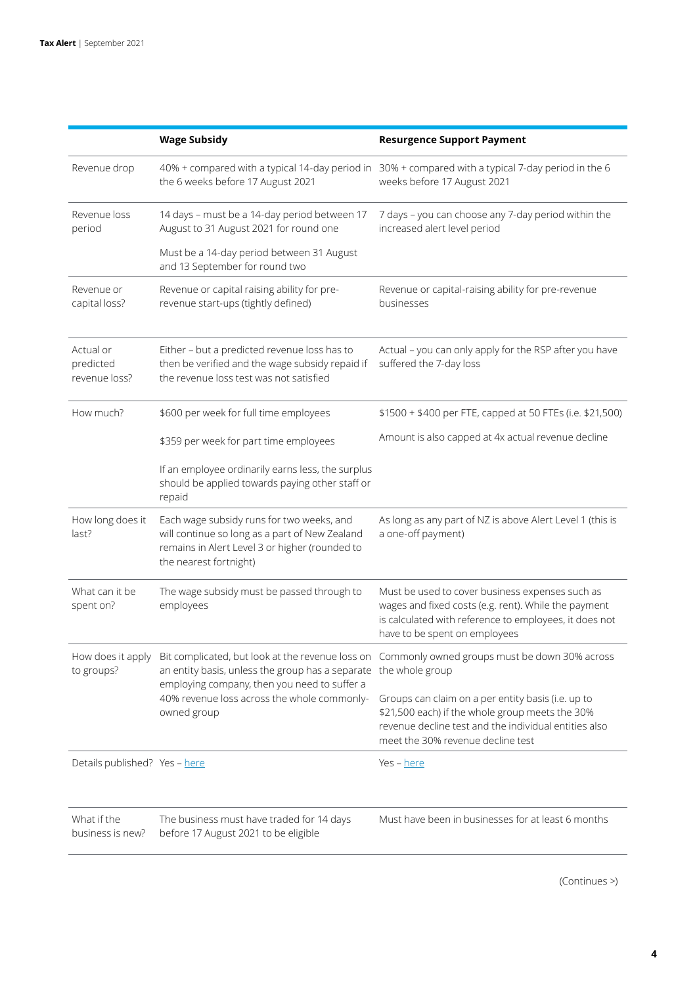|                                         | <b>Wage Subsidy</b>                                                                                                                                                     | <b>Resurgence Support Payment</b>                                                                                                                                                                   |  |
|-----------------------------------------|-------------------------------------------------------------------------------------------------------------------------------------------------------------------------|-----------------------------------------------------------------------------------------------------------------------------------------------------------------------------------------------------|--|
| Revenue drop                            | the 6 weeks before 17 August 2021                                                                                                                                       | 40% + compared with a typical 14-day period in 30% + compared with a typical 7-day period in the 6<br>weeks before 17 August 2021                                                                   |  |
| Revenue loss<br>period                  | 14 days - must be a 14-day period between 17<br>August to 31 August 2021 for round one                                                                                  | 7 days - you can choose any 7-day period within the<br>increased alert level period                                                                                                                 |  |
|                                         | Must be a 14-day period between 31 August<br>and 13 September for round two                                                                                             |                                                                                                                                                                                                     |  |
| Revenue or<br>capital loss?             | Revenue or capital raising ability for pre-<br>revenue start-ups (tightly defined)                                                                                      | Revenue or capital-raising ability for pre-revenue<br>businesses                                                                                                                                    |  |
| Actual or<br>predicted<br>revenue loss? | Either - but a predicted revenue loss has to<br>then be verified and the wage subsidy repaid if<br>the revenue loss test was not satisfied                              | Actual - you can only apply for the RSP after you have<br>suffered the 7-day loss                                                                                                                   |  |
| How much?                               | \$600 per week for full time employees                                                                                                                                  | \$1500 + \$400 per FTE, capped at 50 FTEs (i.e. \$21,500)                                                                                                                                           |  |
|                                         | \$359 per week for part time employees                                                                                                                                  | Amount is also capped at 4x actual revenue decline                                                                                                                                                  |  |
|                                         | If an employee ordinarily earns less, the surplus<br>should be applied towards paying other staff or<br>repaid                                                          |                                                                                                                                                                                                     |  |
| How long does it<br>last?               | Each wage subsidy runs for two weeks, and<br>will continue so long as a part of New Zealand<br>remains in Alert Level 3 or higher (rounded to<br>the nearest fortnight) | As long as any part of NZ is above Alert Level 1 (this is<br>a one-off payment)                                                                                                                     |  |
| What can it be<br>spent on?             | The wage subsidy must be passed through to<br>employees                                                                                                                 | Must be used to cover business expenses such as<br>wages and fixed costs (e.g. rent). While the payment<br>is calculated with reference to employees, it does not<br>have to be spent on employees  |  |
| How does it apply<br>to groups?         | an entity basis, unless the group has a separate                                                                                                                        | Bit complicated, but look at the revenue loss on Commonly owned groups must be down 30% across<br>the whole group                                                                                   |  |
|                                         | employing company, then you need to suffer a<br>40% revenue loss across the whole commonly-<br>owned group                                                              | Groups can claim on a per entity basis (i.e. up to<br>\$21,500 each) if the whole group meets the 30%<br>revenue decline test and the individual entities also<br>meet the 30% revenue decline test |  |
| Details published? Yes - here           |                                                                                                                                                                         | Yes - here                                                                                                                                                                                          |  |
| What if the<br>business is new?         | The business must have traded for 14 days<br>before 17 August 2021 to be eligible                                                                                       | Must have been in businesses for at least 6 months                                                                                                                                                  |  |

(Continues >)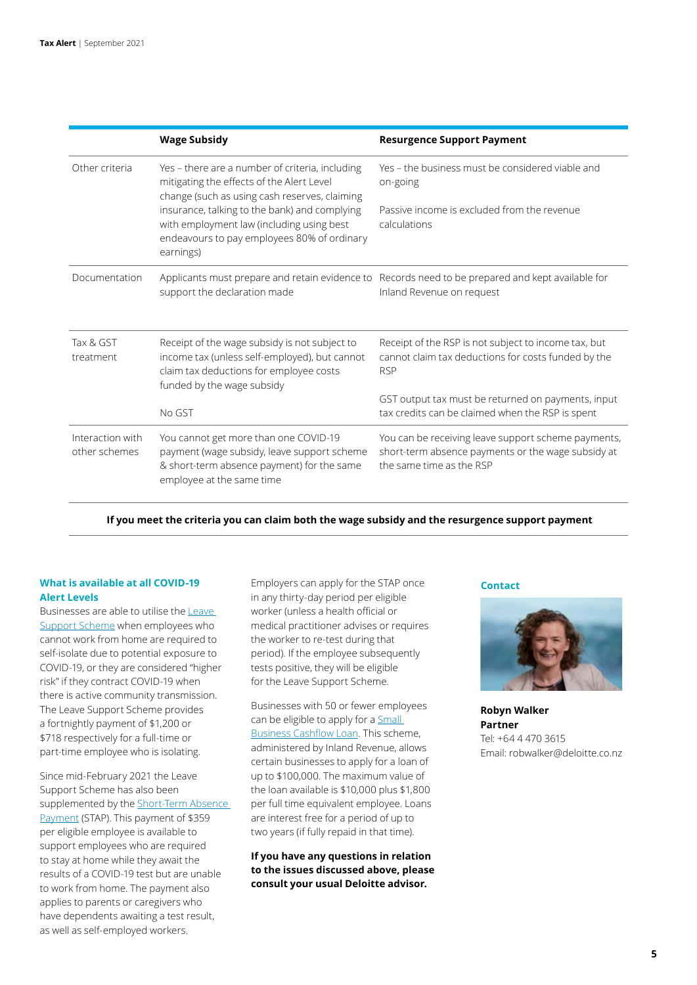|                                   | <b>Wage Subsidy</b>                                                                                                                                                     | <b>Resurgence Support Payment</b>                                                                                                     |
|-----------------------------------|-------------------------------------------------------------------------------------------------------------------------------------------------------------------------|---------------------------------------------------------------------------------------------------------------------------------------|
| Other criteria                    | Yes - there are a number of criteria, including<br>mitigating the effects of the Alert Level<br>change (such as using cash reserves, claiming                           | Yes – the business must be considered viable and<br>on-going                                                                          |
|                                   | insurance, talking to the bank) and complying<br>with employment law (including using best<br>endeavours to pay employees 80% of ordinary<br>earnings)                  | Passive income is excluded from the revenue<br>calculations                                                                           |
| Documentation                     | Applicants must prepare and retain evidence to<br>support the declaration made                                                                                          | Records need to be prepared and kept available for<br>Inland Revenue on request                                                       |
| Tax & GST<br>treatment            | Receipt of the wage subsidy is not subject to<br>income tax (unless self-employed), but cannot<br>claim tax deductions for employee costs<br>funded by the wage subsidy | Receipt of the RSP is not subject to income tax, but<br>cannot claim tax deductions for costs funded by the<br><b>RSP</b>             |
|                                   | No GST                                                                                                                                                                  | GST output tax must be returned on payments, input<br>tax credits can be claimed when the RSP is spent                                |
| Interaction with<br>other schemes | You cannot get more than one COVID-19<br>payment (wage subsidy, leave support scheme<br>& short-term absence payment) for the same<br>employee at the same time         | You can be receiving leave support scheme payments,<br>short-term absence payments or the wage subsidy at<br>the same time as the RSP |

### **If you meet the criteria you can claim both the wage subsidy and the resurgence support payment**

# **What is available at all COVID-19 Alert Levels**

Businesses are able to utilise the [Leave](https://workandincome.govt.nz/covid-19/leave-support-scheme/index.html)  [Support Scheme](https://workandincome.govt.nz/covid-19/leave-support-scheme/index.html) when employees who cannot work from home are required to self-isolate due to potential exposure to COVID-19, or they are considered "higher risk" if they contract COVID-19 when there is active community transmission. The Leave Support Scheme provides a fortnightly payment of \$1,200 or \$718 respectively for a full-time or part-time employee who is isolating.

Since mid-February 2021 the Leave Support Scheme has also been supplemented by the **Short-Term Absence** [Payment](https://workandincome.govt.nz/covid-19/short-term-absence-payment/index.html) (STAP). This payment of \$359 per eligible employee is available to support employees who are required to stay at home while they await the results of a COVID-19 test but are unable to work from home. The payment also applies to parents or caregivers who have dependents awaiting a test result, as well as self-employed workers.

Employers can apply for the STAP once in any thirty-day period per eligible worker (unless a health official or medical practitioner advises or requires the worker to re-test during that period). If the employee subsequently tests positive, they will be eligible for the Leave Support Scheme.

Businesses with 50 or fewer employees can be eligible to apply for a Small [Business Cashflow Loan](https://www.ird.govt.nz/covid-19/business-and-organisations/small-business-cash-flow-loan/applying-for-the-sbcs-loan/apply-for-the-sbcs-loan). This scheme, administered by Inland Revenue, allows certain businesses to apply for a loan of up to \$100,000. The maximum value of the loan available is \$10,000 plus \$1,800 per full time equivalent employee. Loans are interest free for a period of up to two years (if fully repaid in that time).

**If you have any questions in relation to the issues discussed above, please consult your usual Deloitte advisor.**

#### **Contact**



**Robyn Walker Partner** Tel: +64 4 470 3615 Email: robwalker@deloitte.co.nz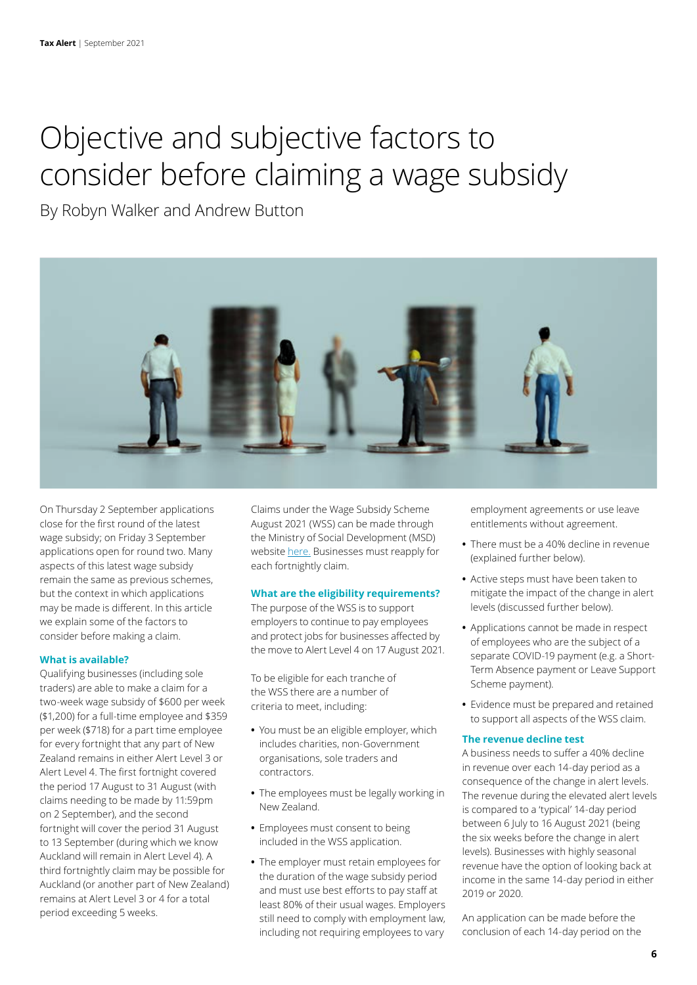# <span id="page-5-0"></span>Objective and subjective factors to consider before claiming a wage subsidy

By Robyn Walker and Andrew Button



On Thursday 2 September applications close for the first round of the latest wage subsidy; on Friday 3 September applications open for round two. Many aspects of this latest wage subsidy remain the same as previous schemes, but the context in which applications may be made is different. In this article we explain some of the factors to consider before making a claim.

# **What is available?**

Qualifying businesses (including sole traders) are able to make a claim for a two-week wage subsidy of \$600 per week (\$1,200) for a full-time employee and \$359 per week (\$718) for a part time employee for every fortnight that any part of New Zealand remains in either Alert Level 3 or Alert Level 4. The first fortnight covered the period 17 August to 31 August (with claims needing to be made by 11:59pm on 2 September), and the second fortnight will cover the period 31 August to 13 September (during which we know Auckland will remain in Alert Level 4). A third fortnightly claim may be possible for Auckland (or another part of New Zealand) remains at Alert Level 3 or 4 for a total period exceeding 5 weeks.

Claims under the Wage Subsidy Scheme August 2021 (WSS) can be made through the Ministry of Social Development (MSD) website [here.](https://www.workandincome.govt.nz/covid-19/wage-subsidy/index.html) Businesses must reapply for each fortnightly claim.

# **What are the eligibility requirements?**

The purpose of the WSS is to support employers to continue to pay employees and protect jobs for businesses affected by the move to Alert Level 4 on 17 August 2021.

To be eligible for each tranche of the WSS there are a number of criteria to meet, including:

- **•** You must be an eligible employer, which includes charities, non-Government organisations, sole traders and contractors.
- **•** The employees must be legally working in New Zealand.
- **•** Employees must consent to being included in the WSS application.
- **•** The employer must retain employees for the duration of the wage subsidy period and must use best efforts to pay staff at least 80% of their usual wages. Employers still need to comply with employment law, including not requiring employees to vary

employment agreements or use leave entitlements without agreement.

- **•** There must be a 40% decline in revenue (explained further below).
- **•** Active steps must have been taken to mitigate the impact of the change in alert levels (discussed further below).
- **•** Applications cannot be made in respect of employees who are the subject of a separate COVID-19 payment (e.g. a Short-Term Absence payment or Leave Support Scheme payment).
- **•** Evidence must be prepared and retained to support all aspects of the WSS claim.

# **The revenue decline test**

A business needs to suffer a 40% decline in revenue over each 14-day period as a consequence of the change in alert levels. The revenue during the elevated alert levels is compared to a 'typical' 14-day period between 6 July to 16 August 2021 (being the six weeks before the change in alert levels). Businesses with highly seasonal revenue have the option of looking back at income in the same 14-day period in either 2019 or 2020.

An application can be made before the conclusion of each 14-day period on the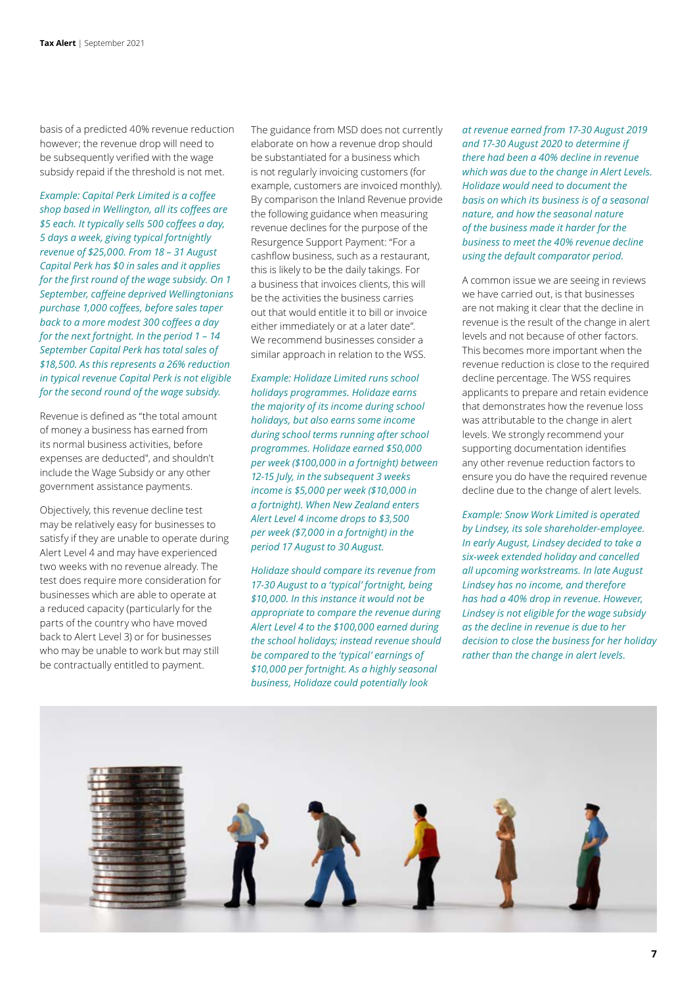basis of a predicted 40% revenue reduction however; the revenue drop will need to be subsequently verified with the wage subsidy repaid if the threshold is not met.

*Example: Capital Perk Limited is a coffee shop based in Wellington, all its coffees are \$5 each. It typically sells 500 coffees a day, 5 days a week, giving typical fortnightly revenue of \$25,000. From 18 – 31 August Capital Perk has \$0 in sales and it applies for the first round of the wage subsidy. On 1 September, caffeine deprived Wellingtonians purchase 1,000 coffees, before sales taper back to a more modest 300 coffees a day for the next fortnight. In the period 1 – 14 September Capital Perk has total sales of \$18,500. As this represents a 26% reduction in typical revenue Capital Perk is not eligible for the second round of the wage subsidy.*

Revenue is defined as "the total amount of money a business has earned from its normal business activities, before expenses are deducted", and shouldn't include the Wage Subsidy or any other government assistance payments.

Objectively, this revenue decline test may be relatively easy for businesses to satisfy if they are unable to operate during Alert Level 4 and may have experienced two weeks with no revenue already. The test does require more consideration for businesses which are able to operate at a reduced capacity (particularly for the parts of the country who have moved back to Alert Level 3) or for businesses who may be unable to work but may still be contractually entitled to payment.

The guidance from MSD does not currently elaborate on how a revenue drop should be substantiated for a business which is not regularly invoicing customers (for example, customers are invoiced monthly). By comparison the Inland Revenue provide the following guidance when measuring revenue declines for the purpose of the Resurgence Support Payment: "For a cashflow business, such as a restaurant, this is likely to be the daily takings. For a business that invoices clients, this will be the activities the business carries out that would entitle it to bill or invoice either immediately or at a later date". We recommend businesses consider a similar approach in relation to the WSS.

*Example: Holidaze Limited runs school holidays programmes. Holidaze earns the majority of its income during school holidays, but also earns some income during school terms running after school programmes. Holidaze earned \$50,000 per week (\$100,000 in a fortnight) between 12-15 July, in the subsequent 3 weeks income is \$5,000 per week (\$10,000 in a fortnight). When New Zealand enters Alert Level 4 income drops to \$3,500 per week (\$7,000 in a fortnight) in the period 17 August to 30 August.*

*Holidaze should compare its revenue from 17-30 August to a 'typical' fortnight, being \$10,000. In this instance it would not be appropriate to compare the revenue during Alert Level 4 to the \$100,000 earned during the school holidays; instead revenue should be compared to the 'typical' earnings of \$10,000 per fortnight. As a highly seasonal business, Holidaze could potentially look* 

*at revenue earned from 17-30 August 2019 and 17-30 August 2020 to determine if there had been a 40% decline in revenue which was due to the change in Alert Levels. Holidaze would need to document the basis on which its business is of a seasonal nature, and how the seasonal nature of the business made it harder for the business to meet the 40% revenue decline using the default comparator period.*

A common issue we are seeing in reviews we have carried out, is that businesses are not making it clear that the decline in revenue is the result of the change in alert levels and not because of other factors. This becomes more important when the revenue reduction is close to the required decline percentage. The WSS requires applicants to prepare and retain evidence that demonstrates how the revenue loss was attributable to the change in alert levels. We strongly recommend your supporting documentation identifies any other revenue reduction factors to ensure you do have the required revenue decline due to the change of alert levels.

*Example: Snow Work Limited is operated by Lindsey, its sole shareholder-employee. In early August, Lindsey decided to take a six-week extended holiday and cancelled all upcoming workstreams. In late August Lindsey has no income, and therefore has had a 40% drop in revenue. However, Lindsey is not eligible for the wage subsidy as the decline in revenue is due to her decision to close the business for her holiday rather than the change in alert levels.* 

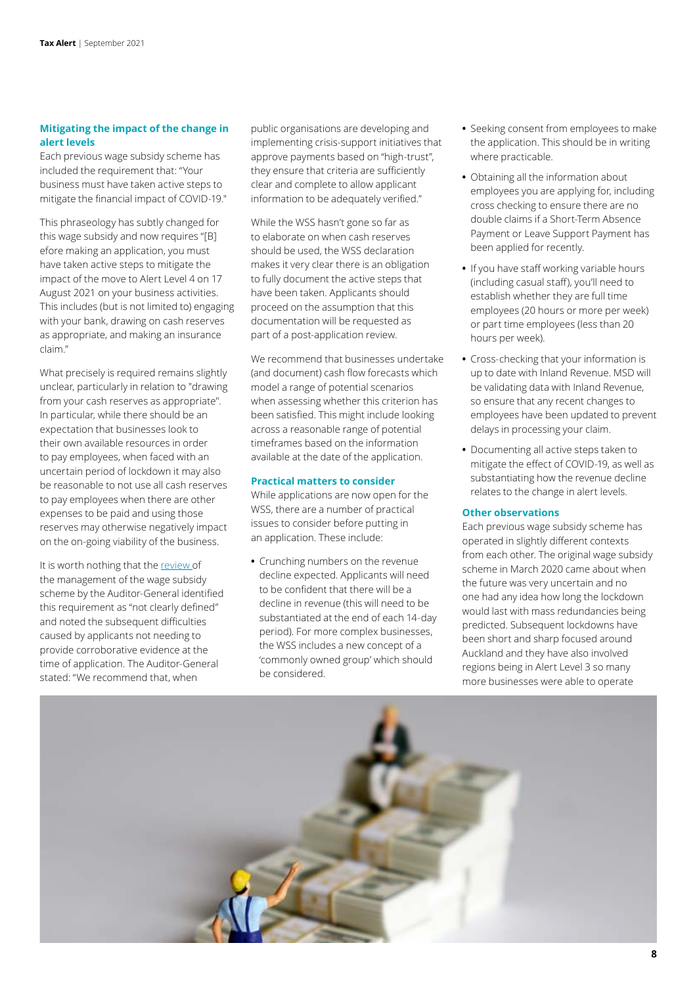# **Mitigating the impact of the change in alert levels**

Each previous wage subsidy scheme has included the requirement that: "Your business must have taken active steps to mitigate the financial impact of COVID-19."

This phraseology has subtly changed for this wage subsidy and now requires "[B] efore making an application, you must have taken active steps to mitigate the impact of the move to Alert Level 4 on 17 August 2021 on your business activities. This includes (but is not limited to) engaging with your bank, drawing on cash reserves as appropriate, and making an insurance claim."

What precisely is required remains slightly unclear, particularly in relation to "drawing from your cash reserves as appropriate". In particular, while there should be an expectation that businesses look to their own available resources in order to pay employees, when faced with an uncertain period of lockdown it may also be reasonable to not use all cash reserves to pay employees when there are other expenses to be paid and using those reserves may otherwise negatively impact on the on-going viability of the business.

It is worth nothing that the [review](https://oag.parliament.nz/2021/wage-subsidy/docs/wage-subsidy.pdf) of the management of the wage subsidy scheme by the Auditor-General identified this requirement as "not clearly defined" and noted the subsequent difficulties caused by applicants not needing to provide corroborative evidence at the time of application. The Auditor-General stated: "We recommend that, when

public organisations are developing and implementing crisis-support initiatives that approve payments based on "high-trust", they ensure that criteria are sufficiently clear and complete to allow applicant information to be adequately verified."

While the WSS hasn't gone so far as to elaborate on when cash reserves should be used, the WSS declaration makes it very clear there is an obligation to fully document the active steps that have been taken. Applicants should proceed on the assumption that this documentation will be requested as part of a post-application review.

We recommend that businesses undertake (and document) cash flow forecasts which model a range of potential scenarios when assessing whether this criterion has been satisfied. This might include looking across a reasonable range of potential timeframes based on the information available at the date of the application.

# **Practical matters to consider**

While applications are now open for the WSS, there are a number of practical issues to consider before putting in an application. These include:

**•** Crunching numbers on the revenue decline expected. Applicants will need to be confident that there will be a decline in revenue (this will need to be substantiated at the end of each 14-day period). For more complex businesses, the WSS includes a new concept of a 'commonly owned group' which should be considered.

- **•** Seeking consent from employees to make the application. This should be in writing where practicable.
- **•** Obtaining all the information about employees you are applying for, including cross checking to ensure there are no double claims if a Short-Term Absence Payment or Leave Support Payment has been applied for recently.
- **•** If you have staff working variable hours (including casual staff), you'll need to establish whether they are full time employees (20 hours or more per week) or part time employees (less than 20 hours per week).
- **•** Cross-checking that your information is up to date with Inland Revenue. MSD will be validating data with Inland Revenue, so ensure that any recent changes to employees have been updated to prevent delays in processing your claim.
- **•** Documenting all active steps taken to mitigate the effect of COVID-19, as well as substantiating how the revenue decline relates to the change in alert levels.

# **Other observations**

Each previous wage subsidy scheme has operated in slightly different contexts from each other. The original wage subsidy scheme in March 2020 came about when the future was very uncertain and no one had any idea how long the lockdown would last with mass redundancies being predicted. Subsequent lockdowns have been short and sharp focused around Auckland and they have also involved regions being in Alert Level 3 so many more businesses were able to operate

![](_page_7_Picture_19.jpeg)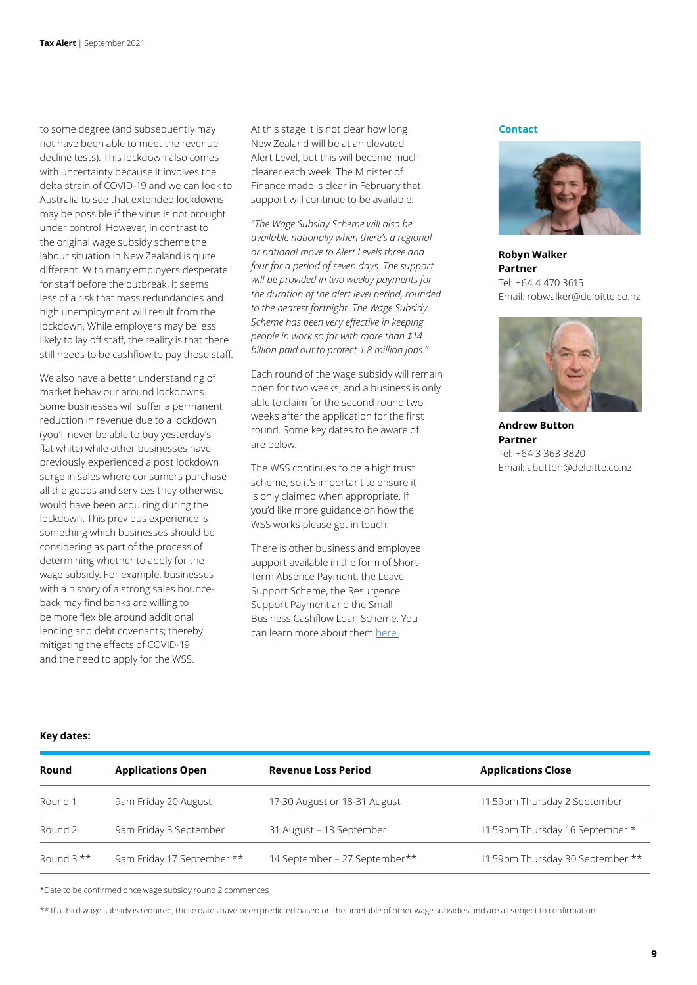to some degree (and subsequently may not have been able to meet the revenue decline tests). This lockdown also comes with uncertainty because it involves the delta strain of COVID-19 and we can look to Australia to see that extended lockdowns may be possible if the virus is not brought under control. However, in contrast to the original wage subsidy scheme the labour situation in New Zealand is quite different. With many employers desperate for staff before the outbreak, it seems less of a risk that mass redundancies and high unemployment will result from the lockdown. While employers may be less likely to lay off staff, the reality is that there still needs to be cashflow to pay those staff.

We also have a better understanding of market behaviour around lockdowns. Some businesses will suffer a permanent reduction in revenue due to a lockdown (you'll never be able to buy yesterday's flat white) while other businesses have previously experienced a post lockdown surge in sales where consumers purchase all the goods and services they otherwise would have been acquiring during the lockdown. This previous experience is something which businesses should be considering as part of the process of determining whether to apply for the wage subsidy. For example, businesses with a history of a strong sales bounceback may find banks are willing to be more flexible around additional lending and debt covenants; thereby mitigating the effects of COVID-19 and the need to apply for the WSS.

At this stage it is not clear how long New Zealand will be at an elevated Alert Level, but this will become much clearer each week. The Minister of Finance made is clear in February that support will continue to be available:

*"The Wage Subsidy Scheme will also be available nationally when there's a regional or national move to Alert Levels three and four for a period of seven days. The support will be provided in two weekly payments for the duration of the alert level period, rounded to the nearest fortnight. The Wage Subsidy Scheme has been very effective in keeping people in work so far with more than \$14 billion paid out to protect 1.8 million jobs."*

Each round of the wage subsidy will remain open for two weeks, and a business is only able to claim for the second round two weeks after the application for the first round. Some key dates to be aware of are below.

The WSS continues to be a high trust scheme, so it's important to ensure it is only claimed when appropriate. If you'd like more guidance on how the WSS works please get in touch.

There is other business and employee support available in the form of Short-Term Absence Payment, the Leave Support Scheme, the Resurgence Support Payment and the Small Business Cashflow Loan Scheme. You can learn more about them [here.](https://www2.deloitte.com/nz/en/pages/risk/articles/what-government-support-is-available-for-businesses.html)

#### **Contact**

![](_page_8_Picture_9.jpeg)

**Robyn Walker Partner** Tel: +64 4 470 3615 Email: robwalker@deloitte.co.nz

![](_page_8_Picture_11.jpeg)

**Andrew Button Partner** Tel: +64 3 363 3820 Email: abutton@deloitte.co.nz

# **Key dates:**

| Round       | <b>Applications Open</b>   | <b>Revenue Loss Period</b>    | <b>Applications Close</b>        |
|-------------|----------------------------|-------------------------------|----------------------------------|
| Round 1     | 9am Friday 20 August       | 17-30 August or 18-31 August  | 11:59pm Thursday 2 September     |
| Round 2     | 9am Friday 3 September     | 31 August - 13 September      | 11:59pm Thursday 16 September *  |
| Round $3**$ | 9am Friday 17 September ** | 14 September - 27 September** | 11:59pm Thursday 30 September ** |

\*Date to be confirmed once wage subsidy round 2 commences

\*\* If a third wage subsidy is required, these dates have been predicted based on the timetable of other wage subsidies and are all subject to confirmation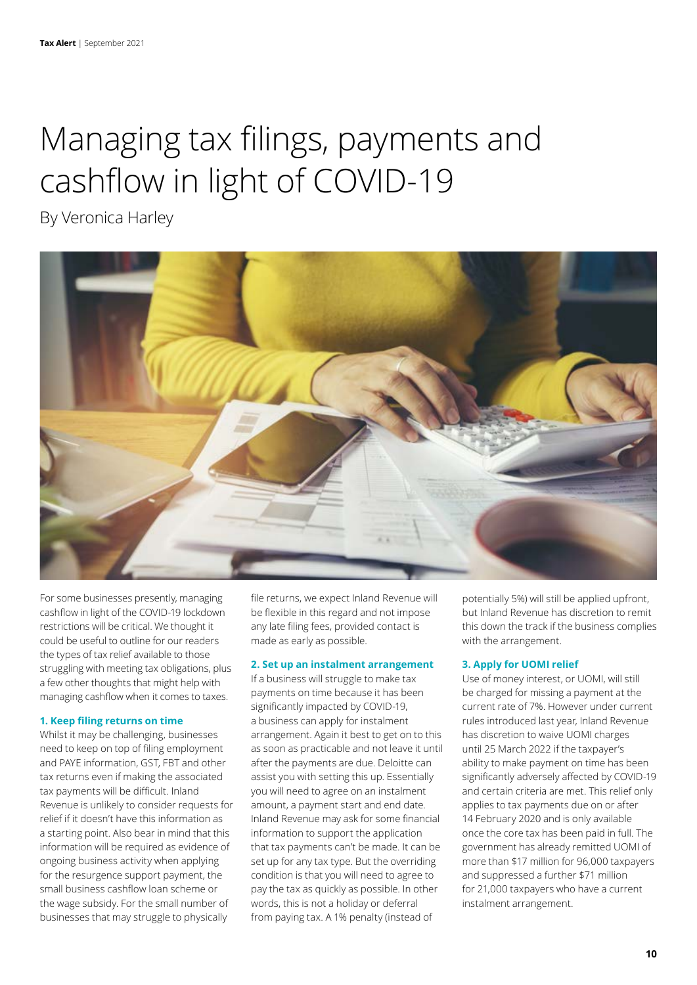# <span id="page-9-0"></span>Managing tax filings, payments and cashflow in light of COVID-19

By Veronica Harley

![](_page_9_Picture_3.jpeg)

For some businesses presently, managing cashflow in light of the COVID-19 lockdown restrictions will be critical. We thought it could be useful to outline for our readers the types of tax relief available to those struggling with meeting tax obligations, plus a few other thoughts that might help with managing cashflow when it comes to taxes.

# **1. Keep filing returns on time**

Whilst it may be challenging, businesses need to keep on top of filing employment and PAYE information, GST, FBT and other tax returns even if making the associated tax payments will be difficult. Inland Revenue is unlikely to consider requests for relief if it doesn't have this information as a starting point. Also bear in mind that this information will be required as evidence of ongoing business activity when applying for the resurgence support payment, the small business cashflow loan scheme or the wage subsidy. For the small number of businesses that may struggle to physically

file returns, we expect Inland Revenue will be flexible in this regard and not impose any late filing fees, provided contact is made as early as possible.

#### **2. Set up an instalment arrangement**

If a business will struggle to make tax payments on time because it has been significantly impacted by COVID-19, a business can apply for instalment arrangement. Again it best to get on to this as soon as practicable and not leave it until after the payments are due. Deloitte can assist you with setting this up. Essentially you will need to agree on an instalment amount, a payment start and end date. Inland Revenue may ask for some financial information to support the application that tax payments can't be made. It can be set up for any tax type. But the overriding condition is that you will need to agree to pay the tax as quickly as possible. In other words, this is not a holiday or deferral from paying tax. A 1% penalty (instead of

potentially 5%) will still be applied upfront, but Inland Revenue has discretion to remit this down the track if the business complies with the arrangement.

#### **3. Apply for UOMI relief**

Use of money interest, or UOMI, will still be charged for missing a payment at the current rate of 7%. However under current rules introduced last year, Inland Revenue has discretion to waive UOMI charges until 25 March 2022 if the taxpayer's ability to make payment on time has been significantly adversely affected by COVID-19 and certain criteria are met. This relief only applies to tax payments due on or after 14 February 2020 and is only available once the core tax has been paid in full. The government has already remitted UOMI of more than \$17 million for 96,000 taxpayers and suppressed a further \$71 million for 21,000 taxpayers who have a current instalment arrangement.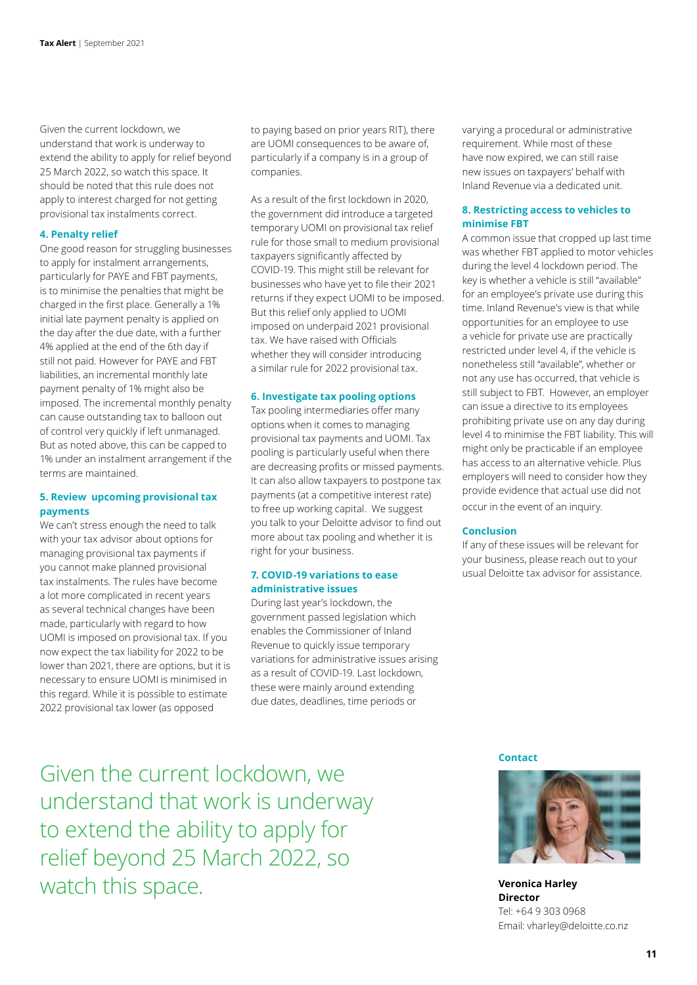Given the current lockdown, we understand that work is underway to extend the ability to apply for relief beyond 25 March 2022, so watch this space. It should be noted that this rule does not apply to interest charged for not getting provisional tax instalments correct.

#### **4. Penalty relief**

One good reason for struggling businesses to apply for instalment arrangements, particularly for PAYE and FBT payments, is to minimise the penalties that might be charged in the first place. Generally a 1% initial late payment penalty is applied on the day after the due date, with a further 4% applied at the end of the 6th day if still not paid. However for PAYE and FBT liabilities, an incremental monthly late payment penalty of 1% might also be imposed. The incremental monthly penalty can cause outstanding tax to balloon out of control very quickly if left unmanaged. But as noted above, this can be capped to 1% under an instalment arrangement if the terms are maintained.

### **5. Review upcoming provisional tax payments**

We can't stress enough the need to talk with your tax advisor about options for managing provisional tax payments if you cannot make planned provisional tax instalments. The rules have become a lot more complicated in recent years as several technical changes have been made, particularly with regard to how UOMI is imposed on provisional tax. If you now expect the tax liability for 2022 to be lower than 2021, there are options, but it is necessary to ensure UOMI is minimised in this regard. While it is possible to estimate 2022 provisional tax lower (as opposed

to paying based on prior years RIT), there are UOMI consequences to be aware of, particularly if a company is in a group of companies.

As a result of the first lockdown in 2020, the government did introduce a targeted temporary UOMI on provisional tax relief rule for those small to medium provisional taxpayers significantly affected by COVID-19. This might still be relevant for businesses who have yet to file their 2021 returns if they expect UOMI to be imposed. But this relief only applied to UOMI imposed on underpaid 2021 provisional tax. We have raised with Officials whether they will consider introducing a similar rule for 2022 provisional tax.

#### **6. Investigate tax pooling options**

Tax pooling intermediaries offer many options when it comes to managing provisional tax payments and UOMI. Tax pooling is particularly useful when there are decreasing profits or missed payments. It can also allow taxpayers to postpone tax payments (at a competitive interest rate) to free up working capital. We suggest you talk to your Deloitte advisor to find out more about tax pooling and whether it is right for your business.

### **7. COVID-19 variations to ease administrative issues**

During last year's lockdown, the government passed legislation which enables the Commissioner of Inland Revenue to quickly issue temporary variations for administrative issues arising as a result of COVID-19. Last lockdown, these were mainly around extending due dates, deadlines, time periods or

varying a procedural or administrative requirement. While most of these have now expired, we can still raise new issues on taxpayers' behalf with Inland Revenue via a dedicated unit.

### **8. Restricting access to vehicles to minimise FBT**

A common issue that cropped up last time was whether FBT applied to motor vehicles during the level 4 lockdown period. The key is whether a vehicle is still "available" for an employee's private use during this time. Inland Revenue's view is that while opportunities for an employee to use a vehicle for private use are practically restricted under level 4, if the vehicle is nonetheless still "available", whether or not any use has occurred, that vehicle is still subject to FBT. However, an employer can issue a directive to its employees prohibiting private use on any day during level 4 to minimise the FBT liability. This will might only be practicable if an employee has access to an alternative vehicle. Plus employers will need to consider how they provide evidence that actual use did not occur in the event of an inquiry.

#### **Conclusion**

If any of these issues will be relevant for your business, please reach out to your usual Deloitte tax advisor for assistance.

Given the current lockdown, we understand that work is underway to extend the ability to apply for relief beyond 25 March 2022, so watch this space.

#### **Contact**

![](_page_10_Picture_19.jpeg)

**Veronica Harley Director** Tel: +64 9 303 0968 Email: vharley@deloitte.co.nz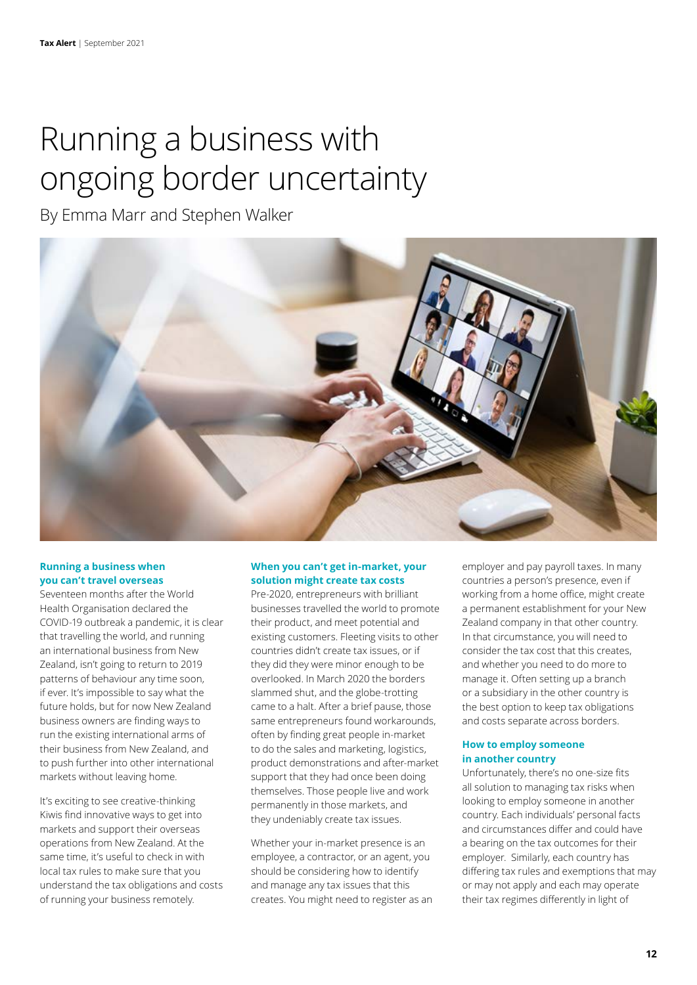# Running a business with ongoing border uncertainty

By Emma Marr and Stephen Walker

![](_page_11_Picture_3.jpeg)

# **Running a business when you can't travel overseas**

Seventeen months after the World Health Organisation declared the COVID-19 outbreak a pandemic, it is clear that travelling the world, and running an international business from New Zealand, isn't going to return to 2019 patterns of behaviour any time soon, if ever. It's impossible to say what the future holds, but for now New Zealand business owners are finding ways to run the existing international arms of their business from New Zealand, and to push further into other international markets without leaving home.

It's exciting to see creative-thinking Kiwis find innovative ways to get into markets and support their overseas operations from New Zealand. At the same time, it's useful to check in with local tax rules to make sure that you understand the tax obligations and costs of running your business remotely.

# **When you can't get in-market, your solution might create tax costs**

Pre-2020, entrepreneurs with brilliant businesses travelled the world to promote their product, and meet potential and existing customers. Fleeting visits to other countries didn't create tax issues, or if they did they were minor enough to be overlooked. In March 2020 the borders slammed shut, and the globe-trotting came to a halt. After a brief pause, those same entrepreneurs found workarounds, often by finding great people in-market to do the sales and marketing, logistics, product demonstrations and after-market support that they had once been doing themselves. Those people live and work permanently in those markets, and they undeniably create tax issues.

Whether your in-market presence is an employee, a contractor, or an agent, you should be considering how to identify and manage any tax issues that this creates. You might need to register as an employer and pay payroll taxes. In many countries a person's presence, even if working from a home office, might create a permanent establishment for your New Zealand company in that other country. In that circumstance, you will need to consider the tax cost that this creates, and whether you need to do more to manage it. Often setting up a branch or a subsidiary in the other country is the best option to keep tax obligations and costs separate across borders.

# **How to employ someone in another country**

Unfortunately, there's no one-size fits all solution to managing tax risks when looking to employ someone in another country. Each individuals' personal facts and circumstances differ and could have a bearing on the tax outcomes for their employer. Similarly, each country has differing tax rules and exemptions that may or may not apply and each may operate their tax regimes differently in light of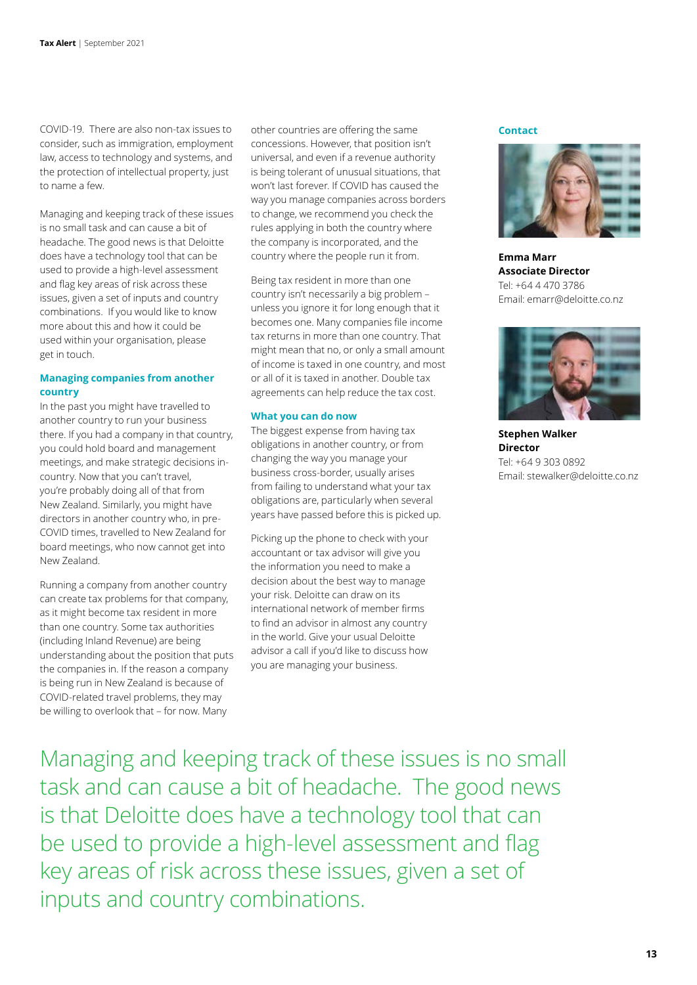COVID-19. There are also non-tax issues to consider, such as immigration, employment law, access to technology and systems, and the protection of intellectual property, just to name a few.

Managing and keeping track of these issues is no small task and can cause a bit of headache. The good news is that Deloitte does have a technology tool that can be used to provide a high-level assessment and flag key areas of risk across these issues, given a set of inputs and country combinations. If you would like to know more about this and how it could be used within your organisation, please get in touch.

# **Managing companies from another country**

In the past you might have travelled to another country to run your business there. If you had a company in that country, you could hold board and management meetings, and make strategic decisions incountry. Now that you can't travel, you're probably doing all of that from New Zealand. Similarly, you might have directors in another country who, in pre-COVID times, travelled to New Zealand for board meetings, who now cannot get into New Zealand.

Running a company from another country can create tax problems for that company, as it might become tax resident in more than one country. Some tax authorities (including Inland Revenue) are being understanding about the position that puts the companies in. If the reason a company is being run in New Zealand is because of COVID-related travel problems, they may be willing to overlook that – for now. Many

other countries are offering the same concessions. However, that position isn't universal, and even if a revenue authority is being tolerant of unusual situations, that won't last forever. If COVID has caused the way you manage companies across borders to change, we recommend you check the rules applying in both the country where the company is incorporated, and the country where the people run it from.

Being tax resident in more than one country isn't necessarily a big problem – unless you ignore it for long enough that it becomes one. Many companies file income tax returns in more than one country. That might mean that no, or only a small amount of income is taxed in one country, and most or all of it is taxed in another. Double tax agreements can help reduce the tax cost.

#### **What you can do now**

The biggest expense from having tax obligations in another country, or from changing the way you manage your business cross-border, usually arises from failing to understand what your tax obligations are, particularly when several years have passed before this is picked up.

Picking up the phone to check with your accountant or tax advisor will give you the information you need to make a decision about the best way to manage your risk. Deloitte can draw on its international network of member firms to find an advisor in almost any country in the world. Give your usual Deloitte advisor a call if you'd like to discuss how you are managing your business.

**Contact**

![](_page_12_Picture_12.jpeg)

**Emma Marr Associate Director** Tel: +64 4 470 3786 Email: emarr@deloitte.co.nz

![](_page_12_Picture_14.jpeg)

**Stephen Walker Director**  Tel: +64 9 303 0892 Email: stewalker@deloitte.co.nz

Managing and keeping track of these issues is no small task and can cause a bit of headache. The good news is that Deloitte does have a technology tool that can be used to provide a high-level assessment and flag key areas of risk across these issues, given a set of inputs and country combinations.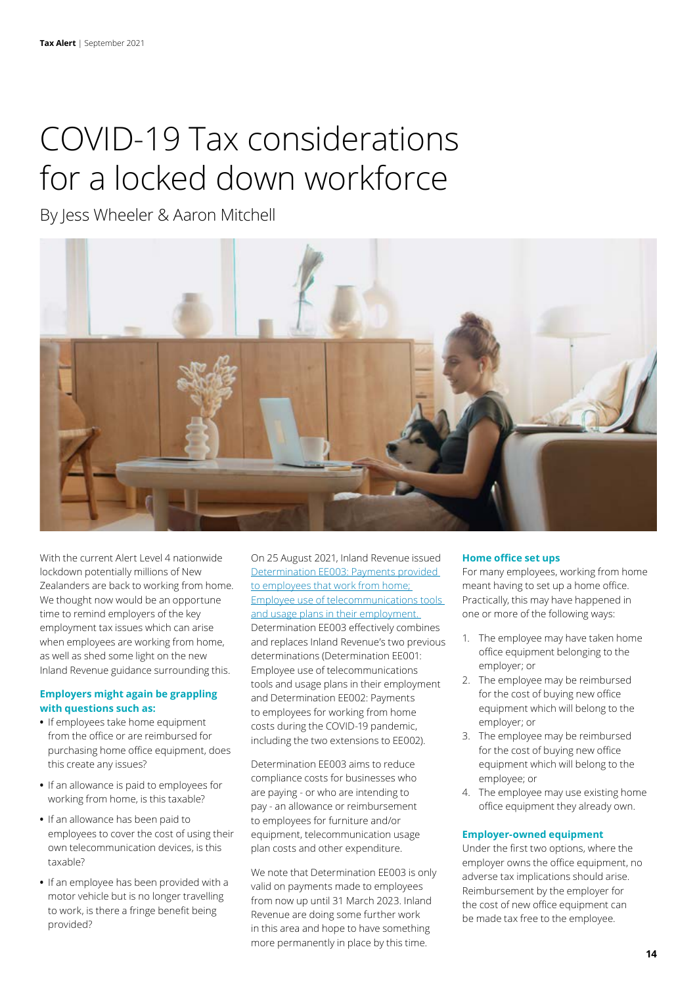# <span id="page-13-0"></span>COVID-19 Tax considerations for a locked down workforce

By Jess Wheeler & Aaron Mitchell

![](_page_13_Picture_3.jpeg)

With the current Alert Level 4 nationwide lockdown potentially millions of New Zealanders are back to working from home. We thought now would be an opportune time to remind employers of the key employment tax issues which can arise when employees are working from home, as well as shed some light on the new Inland Revenue guidance surrounding this.

# **Employers might again be grappling with questions such as:**

- **•** If employees take home equipment from the office or are reimbursed for purchasing home office equipment, does this create any issues?
- **•** If an allowance is paid to employees for working from home, is this taxable?
- **•** If an allowance has been paid to employees to cover the cost of using their own telecommunication devices, is this taxable?
- **•** If an employee has been provided with a motor vehicle but is no longer travelling to work, is there a fringe benefit being provided?

On 25 August 2021, Inland Revenue issued [Determination EE003: Payments provided](https://www.taxtechnical.ird.govt.nz/-/media/project/ir/tt/pdfs/determinations/miscellaneous/2021/ee003.pdf?modified=20210829234529)  [to employees that work from home;](https://www.taxtechnical.ird.govt.nz/-/media/project/ir/tt/pdfs/determinations/miscellaneous/2021/ee003.pdf?modified=20210829234529)  [Employee use of telecommunications tools](https://www.taxtechnical.ird.govt.nz/-/media/project/ir/tt/pdfs/determinations/miscellaneous/2021/ee003.pdf?modified=20210829234529)  [and usage plans in their employment.](https://www.taxtechnical.ird.govt.nz/-/media/project/ir/tt/pdfs/determinations/miscellaneous/2021/ee003.pdf?modified=20210829234529)  Determination EE003 effectively combines and replaces Inland Revenue's two previous determinations (Determination EE001: Employee use of telecommunications tools and usage plans in their employment and Determination EE002: Payments to employees for working from home costs during the COVID-19 pandemic, including the two extensions to EE002).

Determination EE003 aims to reduce compliance costs for businesses who are paying - or who are intending to pay - an allowance or reimbursement to employees for furniture and/or equipment, telecommunication usage plan costs and other expenditure.

We note that Determination EE003 is only valid on payments made to employees from now up until 31 March 2023. Inland Revenue are doing some further work in this area and hope to have something more permanently in place by this time.

# **Home office set ups**

For many employees, working from home meant having to set up a home office. Practically, this may have happened in one or more of the following ways:

- 1. The employee may have taken home office equipment belonging to the employer; or
- 2. The employee may be reimbursed for the cost of buying new office equipment which will belong to the employer; or
- 3. The employee may be reimbursed for the cost of buying new office equipment which will belong to the employee; or
- 4. The employee may use existing home office equipment they already own.

# **Employer-owned equipment**

Under the first two options, where the employer owns the office equipment, no adverse tax implications should arise. Reimbursement by the employer for the cost of new office equipment can be made tax free to the employee.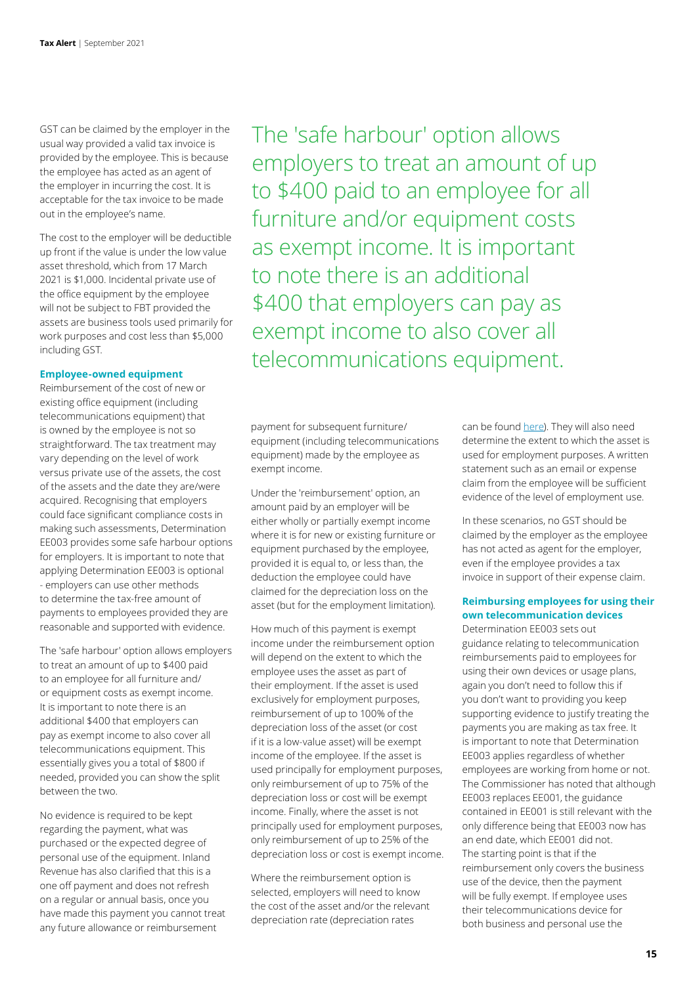GST can be claimed by the employer in the usual way provided a valid tax invoice is provided by the employee. This is because the employee has acted as an agent of the employer in incurring the cost. It is acceptable for the tax invoice to be made out in the employee's name.

The cost to the employer will be deductible up front if the value is under the low value asset threshold, which from 17 March 2021 is \$1,000. Incidental private use of the office equipment by the employee will not be subject to FBT provided the assets are business tools used primarily for work purposes and cost less than \$5,000 including GST.

#### **Employee-owned equipment**

Reimbursement of the cost of new or existing office equipment (including telecommunications equipment) that is owned by the employee is not so straightforward. The tax treatment may vary depending on the level of work versus private use of the assets, the cost of the assets and the date they are/were acquired. Recognising that employers could face significant compliance costs in making such assessments, Determination EE003 provides some safe harbour options for employers. It is important to note that applying Determination EE003 is optional - employers can use other methods to determine the tax-free amount of payments to employees provided they are reasonable and supported with evidence.

The 'safe harbour' option allows employers to treat an amount of up to \$400 paid to an employee for all furniture and/ or equipment costs as exempt income. It is important to note there is an additional \$400 that employers can pay as exempt income to also cover all telecommunications equipment. This essentially gives you a total of \$800 if needed, provided you can show the split between the two.

No evidence is required to be kept regarding the payment, what was purchased or the expected degree of personal use of the equipment. Inland Revenue has also clarified that this is a one off payment and does not refresh on a regular or annual basis, once you have made this payment you cannot treat any future allowance or reimbursement

The 'safe harbour' option allows employers to treat an amount of up to \$400 paid to an employee for all furniture and/or equipment costs as exempt income. It is important to note there is an additional \$400 that employers can pay as exempt income to also cover all telecommunications equipment.

payment for subsequent furniture/ equipment (including telecommunications equipment) made by the employee as exempt income.

Under the 'reimbursement' option, an amount paid by an employer will be either wholly or partially exempt income where it is for new or existing furniture or equipment purchased by the employee, provided it is equal to, or less than, the deduction the employee could have claimed for the depreciation loss on the asset (but for the employment limitation).

How much of this payment is exempt income under the reimbursement option will depend on the extent to which the employee uses the asset as part of their employment. If the asset is used exclusively for employment purposes, reimbursement of up to 100% of the depreciation loss of the asset (or cost if it is a low-value asset) will be exempt income of the employee. If the asset is used principally for employment purposes, only reimbursement of up to 75% of the depreciation loss or cost will be exempt income. Finally, where the asset is not principally used for employment purposes, only reimbursement of up to 25% of the depreciation loss or cost is exempt income.

Where the reimbursement option is selected, employers will need to know the cost of the asset and/or the relevant depreciation rate (depreciation rates

can be found [here\)](https://interact2.ird.govt.nz/forms/depnrates/). They will also need determine the extent to which the asset is used for employment purposes. A written statement such as an email or expense claim from the employee will be sufficient evidence of the level of employment use.

In these scenarios, no GST should be claimed by the employer as the employee has not acted as agent for the employer, even if the employee provides a tax invoice in support of their expense claim.

# **Reimbursing employees for using their own telecommunication devices**

Determination EE003 sets out guidance relating to telecommunication reimbursements paid to employees for using their own devices or usage plans, again you don't need to follow this if you don't want to providing you keep supporting evidence to justify treating the payments you are making as tax free. It is important to note that Determination EE003 applies regardless of whether employees are working from home or not. The Commissioner has noted that although EE003 replaces EE001, the guidance contained in EE001 is still relevant with the only difference being that EE003 now has an end date, which EE001 did not. The starting point is that if the reimbursement only covers the business use of the device, then the payment will be fully exempt. If employee uses their telecommunications device for both business and personal use the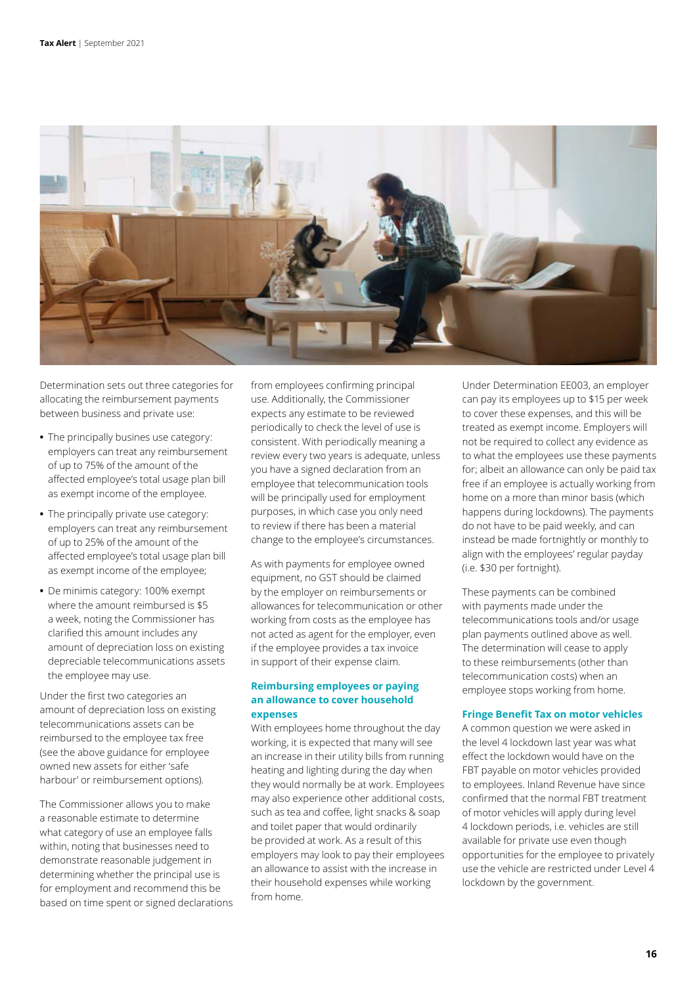![](_page_15_Picture_1.jpeg)

Determination sets out three categories for allocating the reimbursement payments between business and private use:

- **•** The principally busines use category: employers can treat any reimbursement of up to 75% of the amount of the affected employee's total usage plan bill as exempt income of the employee.
- **•** The principally private use category: employers can treat any reimbursement of up to 25% of the amount of the affected employee's total usage plan bill as exempt income of the employee;
- **•** De minimis category: 100% exempt where the amount reimbursed is \$5 a week, noting the Commissioner has clarified this amount includes any amount of depreciation loss on existing depreciable telecommunications assets the employee may use.

Under the first two categories an amount of depreciation loss on existing telecommunications assets can be reimbursed to the employee tax free (see the above guidance for employee owned new assets for either 'safe harbour' or reimbursement options).

The Commissioner allows you to make a reasonable estimate to determine what category of use an employee falls within, noting that businesses need to demonstrate reasonable judgement in determining whether the principal use is for employment and recommend this be based on time spent or signed declarations from employees confirming principal use. Additionally, the Commissioner expects any estimate to be reviewed periodically to check the level of use is consistent. With periodically meaning a review every two years is adequate, unless you have a signed declaration from an employee that telecommunication tools will be principally used for employment purposes, in which case you only need to review if there has been a material change to the employee's circumstances.

As with payments for employee owned equipment, no GST should be claimed by the employer on reimbursements or allowances for telecommunication or other working from costs as the employee has not acted as agent for the employer, even if the employee provides a tax invoice in support of their expense claim.

# **Reimbursing employees or paying an allowance to cover household expenses**

With employees home throughout the day working, it is expected that many will see an increase in their utility bills from running heating and lighting during the day when they would normally be at work. Employees may also experience other additional costs, such as tea and coffee, light snacks & soap and toilet paper that would ordinarily be provided at work. As a result of this employers may look to pay their employees an allowance to assist with the increase in their household expenses while working from home.

Under Determination EE003, an employer can pay its employees up to \$15 per week to cover these expenses, and this will be treated as exempt income. Employers will not be required to collect any evidence as to what the employees use these payments for; albeit an allowance can only be paid tax free if an employee is actually working from home on a more than minor basis (which happens during lockdowns). The payments do not have to be paid weekly, and can instead be made fortnightly or monthly to align with the employees' regular payday (i.e. \$30 per fortnight).

These payments can be combined with payments made under the telecommunications tools and/or usage plan payments outlined above as well. The determination will cease to apply to these reimbursements (other than telecommunication costs) when an employee stops working from home.

# **Fringe Benefit Tax on motor vehicles**

A common question we were asked in the level 4 lockdown last year was what effect the lockdown would have on the FBT payable on motor vehicles provided to employees. Inland Revenue have since confirmed that the normal FBT treatment of motor vehicles will apply during level 4 lockdown periods, i.e. vehicles are still available for private use even though opportunities for the employee to privately use the vehicle are restricted under Level 4 lockdown by the government.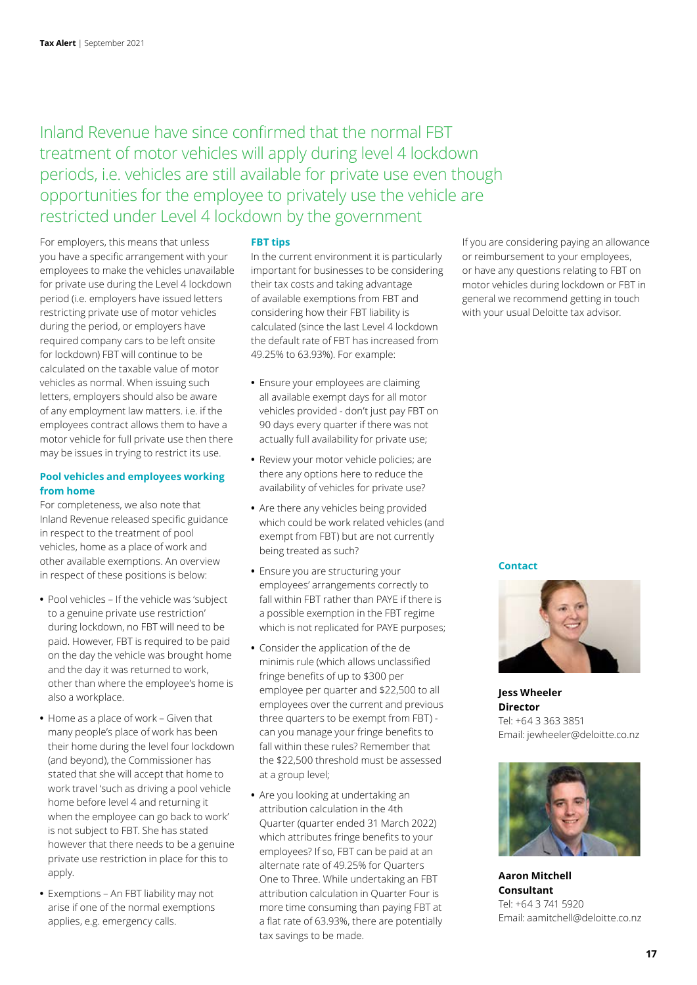Inland Revenue have since confirmed that the normal FBT treatment of motor vehicles will apply during level 4 lockdown periods, i.e. vehicles are still available for private use even though opportunities for the employee to privately use the vehicle are restricted under Level 4 lockdown by the government

For employers, this means that unless you have a specific arrangement with your employees to make the vehicles unavailable for private use during the Level 4 lockdown period (i.e. employers have issued letters restricting private use of motor vehicles during the period, or employers have required company cars to be left onsite for lockdown) FBT will continue to be calculated on the taxable value of motor vehicles as normal. When issuing such letters, employers should also be aware of any employment law matters. i.e. if the employees contract allows them to have a motor vehicle for full private use then there may be issues in trying to restrict its use.

# **Pool vehicles and employees working from home**

For completeness, we also note that Inland Revenue released specific guidance in respect to the treatment of pool vehicles, home as a place of work and other available exemptions. An overview in respect of these positions is below:

- **•** Pool vehicles If the vehicle was 'subject to a genuine private use restriction' during lockdown, no FBT will need to be paid. However, FBT is required to be paid on the day the vehicle was brought home and the day it was returned to work, other than where the employee's home is also a workplace.
- **•** Home as a place of work Given that many people's place of work has been their home during the level four lockdown (and beyond), the Commissioner has stated that she will accept that home to work travel 'such as driving a pool vehicle home before level 4 and returning it when the employee can go back to work' is not subject to FBT. She has stated however that there needs to be a genuine private use restriction in place for this to apply.
- **•** Exemptions An FBT liability may not arise if one of the normal exemptions applies, e.g. emergency calls.

### **FBT tips**

In the current environment it is particularly important for businesses to be considering their tax costs and taking advantage of available exemptions from FBT and considering how their FBT liability is calculated (since the last Level 4 lockdown the default rate of FBT has increased from 49.25% to 63.93%). For example:

- **•** Ensure your employees are claiming all available exempt days for all motor vehicles provided - don't just pay FBT on 90 days every quarter if there was not actually full availability for private use;
- **•** Review your motor vehicle policies; are there any options here to reduce the availability of vehicles for private use?
- **•** Are there any vehicles being provided which could be work related vehicles (and exempt from FBT) but are not currently being treated as such?
- **•** Ensure you are structuring your employees' arrangements correctly to fall within FBT rather than PAYE if there is a possible exemption in the FBT regime which is not replicated for PAYE purposes;
- **•** Consider the application of the de minimis rule (which allows unclassified fringe benefits of up to \$300 per employee per quarter and \$22,500 to all employees over the current and previous three quarters to be exempt from FBT) can you manage your fringe benefits to fall within these rules? Remember that the \$22,500 threshold must be assessed at a group level;
- **•** Are you looking at undertaking an attribution calculation in the 4th Quarter (quarter ended 31 March 2022) which attributes fringe benefits to your employees? If so, FBT can be paid at an alternate rate of 49.25% for Quarters One to Three. While undertaking an FBT attribution calculation in Quarter Four is more time consuming than paying FBT at a flat rate of 63.93%, there are potentially tax savings to be made.

If you are considering paying an allowance or reimbursement to your employees, or have any questions relating to FBT on motor vehicles during lockdown or FBT in general we recommend getting in touch with your usual Deloitte tax advisor.

#### **Contact**

![](_page_16_Picture_18.jpeg)

**Jess Wheeler Director** Tel: +64 3 363 3851 Email: jewheeler@deloitte.co.nz

![](_page_16_Picture_20.jpeg)

**Aaron Mitchell Consultant** Tel: +64 3 741 5920 Email: aamitchell@deloitte.co.nz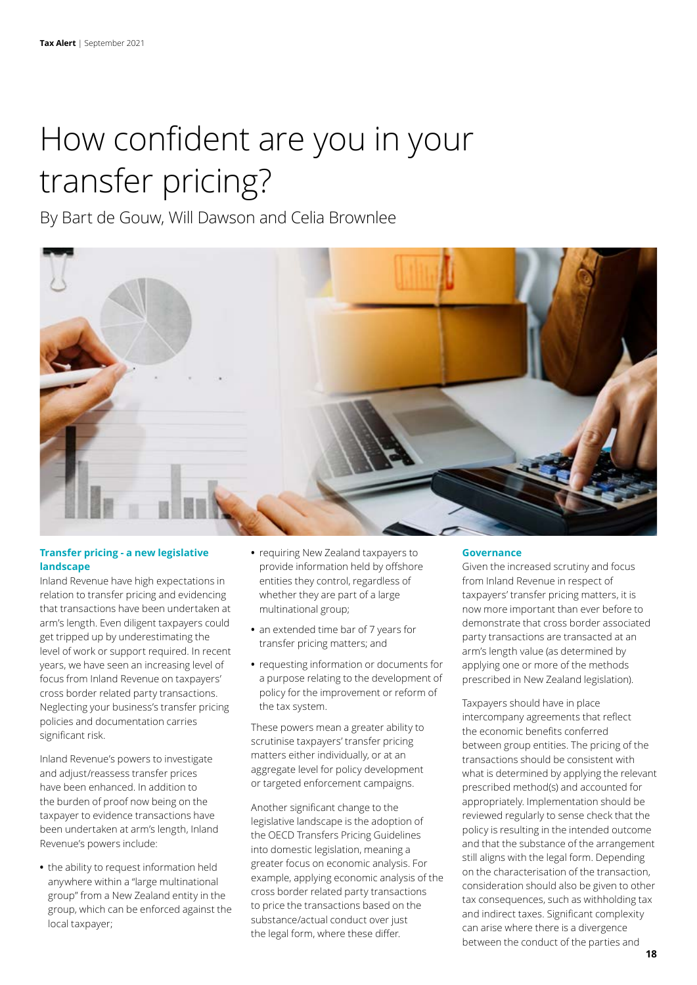# <span id="page-17-0"></span>How confident are you in your transfer pricing?

By Bart de Gouw, Will Dawson and Celia Brownlee

![](_page_17_Picture_3.jpeg)

# **Transfer pricing - a new legislative landscape**

Inland Revenue have high expectations in relation to transfer pricing and evidencing that transactions have been undertaken at arm's length. Even diligent taxpayers could get tripped up by underestimating the level of work or support required. In recent years, we have seen an increasing level of focus from Inland Revenue on taxpayers' cross border related party transactions. Neglecting your business's transfer pricing policies and documentation carries significant risk.

Inland Revenue's powers to investigate and adjust/reassess transfer prices have been enhanced. In addition to the burden of proof now being on the taxpayer to evidence transactions have been undertaken at arm's length, Inland Revenue's powers include:

**•** the ability to request information held anywhere within a "large multinational group" from a New Zealand entity in the group, which can be enforced against the local taxpayer;

- **•** requiring New Zealand taxpayers to provide information held by offshore entities they control, regardless of whether they are part of a large multinational group;
- **•** an extended time bar of 7 years for transfer pricing matters; and
- **•** requesting information or documents for a purpose relating to the development of policy for the improvement or reform of the tax system.

These powers mean a greater ability to scrutinise taxpayers' transfer pricing matters either individually, or at an aggregate level for policy development or targeted enforcement campaigns.

Another significant change to the legislative landscape is the adoption of the OECD Transfers Pricing Guidelines into domestic legislation, meaning a greater focus on economic analysis. For example, applying economic analysis of the cross border related party transactions to price the transactions based on the substance/actual conduct over just the legal form, where these differ.

#### **Governance**

Given the increased scrutiny and focus from Inland Revenue in respect of taxpayers' transfer pricing matters, it is now more important than ever before to demonstrate that cross border associated party transactions are transacted at an arm's length value (as determined by applying one or more of the methods prescribed in New Zealand legislation).

Taxpayers should have in place intercompany agreements that reflect the economic benefits conferred between group entities. The pricing of the transactions should be consistent with what is determined by applying the relevant prescribed method(s) and accounted for appropriately. Implementation should be reviewed regularly to sense check that the policy is resulting in the intended outcome and that the substance of the arrangement still aligns with the legal form. Depending on the characterisation of the transaction, consideration should also be given to other tax consequences, such as withholding tax and indirect taxes. Significant complexity can arise where there is a divergence between the conduct of the parties and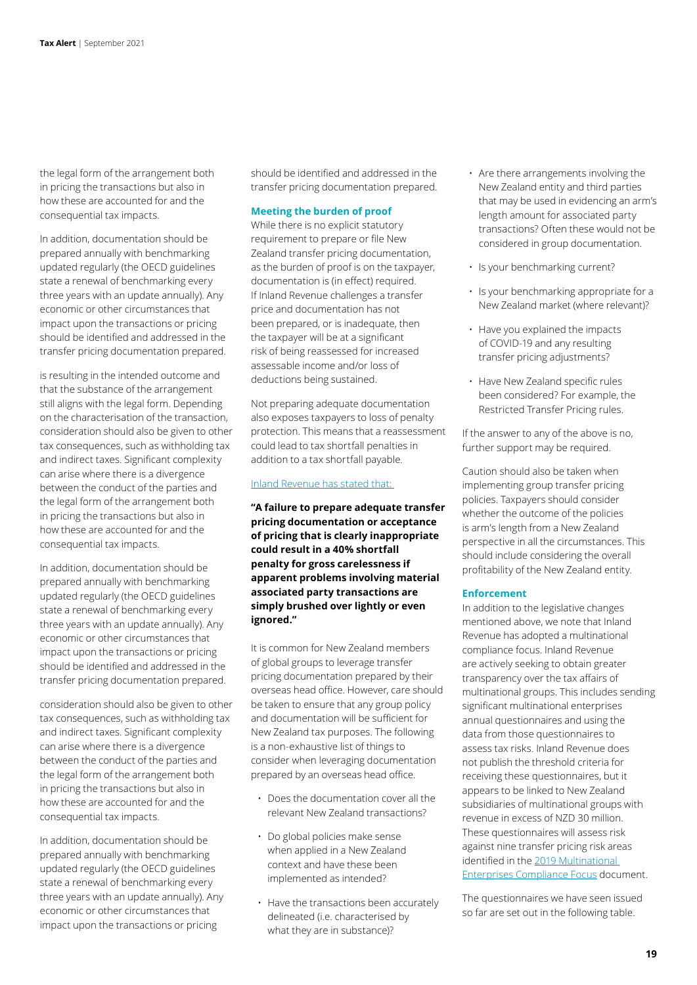the legal form of the arrangement both in pricing the transactions but also in how these are accounted for and the consequential tax impacts.

In addition, documentation should be prepared annually with benchmarking updated regularly (the OECD guidelines state a renewal of benchmarking every three years with an update annually). Any economic or other circumstances that impact upon the transactions or pricing should be identified and addressed in the transfer pricing documentation prepared.

is resulting in the intended outcome and that the substance of the arrangement still aligns with the legal form. Depending on the characterisation of the transaction, consideration should also be given to other tax consequences, such as withholding tax and indirect taxes. Significant complexity can arise where there is a divergence between the conduct of the parties and the legal form of the arrangement both in pricing the transactions but also in how these are accounted for and the consequential tax impacts.

In addition, documentation should be prepared annually with benchmarking updated regularly (the OECD guidelines state a renewal of benchmarking every three years with an update annually). Any economic or other circumstances that impact upon the transactions or pricing should be identified and addressed in the transfer pricing documentation prepared.

consideration should also be given to other tax consequences, such as withholding tax and indirect taxes. Significant complexity can arise where there is a divergence between the conduct of the parties and the legal form of the arrangement both in pricing the transactions but also in how these are accounted for and the consequential tax impacts.

In addition, documentation should be prepared annually with benchmarking updated regularly (the OECD guidelines state a renewal of benchmarking every three years with an update annually). Any economic or other circumstances that impact upon the transactions or pricing

should be identified and addressed in the transfer pricing documentation prepared.

### **Meeting the burden of proof**

While there is no explicit statutory requirement to prepare or file New Zealand transfer pricing documentation, as the burden of proof is on the taxpayer, documentation is (in effect) required. If Inland Revenue challenges a transfer price and documentation has not been prepared, or is inadequate, then the taxpayer will be at a significant risk of being reassessed for increased assessable income and/or loss of deductions being sustained.

Not preparing adequate documentation also exposes taxpayers to loss of penalty protection. This means that a reassessment could lead to tax shortfall penalties in addition to a tax shortfall payable.

#### [Inland Revenue has stated that:](https://www.ird.govt.nz/international-tax/business/transfer-pricing/practice-issues/documentation#:~:text=A%20failure%20to%20prepare%20adequate,over%20lightly%20or%20even%20ignored)

**"A failure to prepare adequate transfer pricing documentation or acceptance of pricing that is clearly inappropriate could result in a 40% shortfall penalty for gross carelessness if apparent problems involving material associated party transactions are simply brushed over lightly or even ignored."**

It is common for New Zealand members of global groups to leverage transfer pricing documentation prepared by their overseas head office. However, care should be taken to ensure that any group policy and documentation will be sufficient for New Zealand tax purposes. The following is a non-exhaustive list of things to consider when leveraging documentation prepared by an overseas head office.

- Does the documentation cover all the relevant New Zealand transactions?
- Do global policies make sense when applied in a New Zealand context and have these been implemented as intended?
- Have the transactions been accurately delineated (i.e. characterised by what they are in substance)?
- Are there arrangements involving the New Zealand entity and third parties that may be used in evidencing an arm's length amount for associated party transactions? Often these would not be considered in group documentation.
- Is your benchmarking current?
- Is your benchmarking appropriate for a New Zealand market (where relevant)?
- Have you explained the impacts of COVID-19 and any resulting transfer pricing adjustments?
- Have New Zealand specific rules been considered? For example, the Restricted Transfer Pricing rules.

If the answer to any of the above is no, further support may be required.

Caution should also be taken when implementing group transfer pricing policies. Taxpayers should consider whether the outcome of the policies is arm's length from a New Zealand perspective in all the circumstances. This should include considering the overall profitability of the New Zealand entity.

#### **Enforcement**

In addition to the legislative changes mentioned above, we note that Inland Revenue has adopted a multinational compliance focus. Inland Revenue are actively seeking to obtain greater transparency over the tax affairs of multinational groups. This includes sending significant multinational enterprises annual questionnaires and using the data from those questionnaires to assess tax risks. Inland Revenue does not publish the threshold criteria for receiving these questionnaires, but it appears to be linked to New Zealand subsidiaries of multinational groups with revenue in excess of NZD 30 million. These questionnaires will assess risk against nine transfer pricing risk areas identified in the [2019 Multinational](https://www.ird.govt.nz/-/media/project/ir/home/documents/international/multinational-enterprises---compliance-focus-documents/compliance-focus---2019.pdf)  [Enterprises Compliance Focus](https://www.ird.govt.nz/-/media/project/ir/home/documents/international/multinational-enterprises---compliance-focus-documents/compliance-focus---2019.pdf) document.

The questionnaires we have seen issued so far are set out in the following table.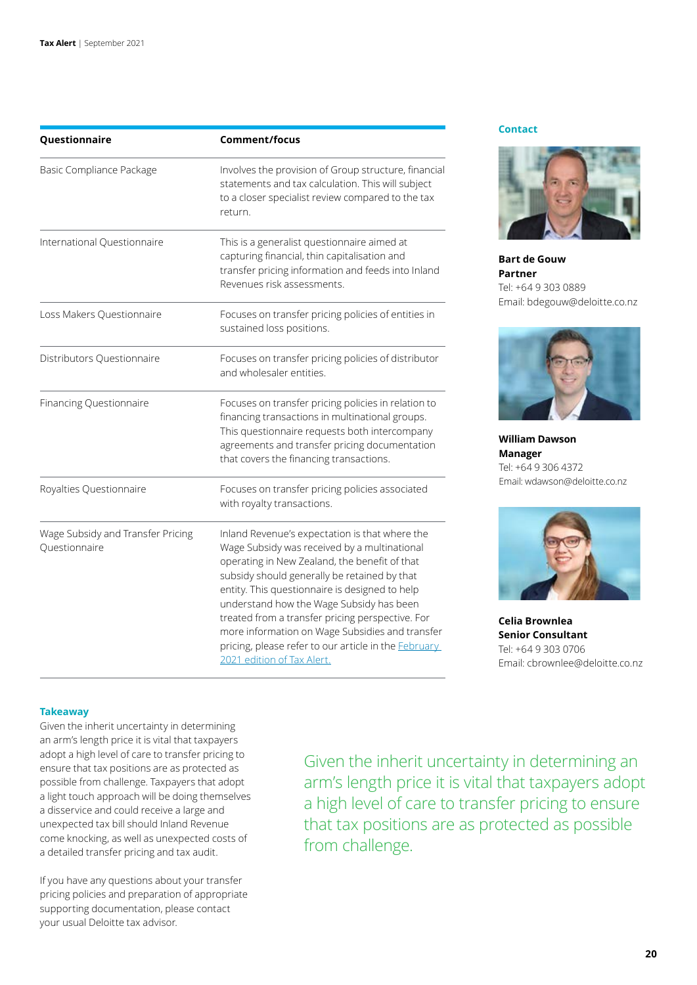| Questionnaire                                      | Comment/focus                                                                                                                                                                                                                                                                                                                                                                                                                                                                                     |  |
|----------------------------------------------------|---------------------------------------------------------------------------------------------------------------------------------------------------------------------------------------------------------------------------------------------------------------------------------------------------------------------------------------------------------------------------------------------------------------------------------------------------------------------------------------------------|--|
| Basic Compliance Package                           | Involves the provision of Group structure, financial<br>statements and tax calculation. This will subject<br>to a closer specialist review compared to the tax<br>return.<br>This is a generalist questionnaire aimed at<br>capturing financial, thin capitalisation and<br>transfer pricing information and feeds into Inland<br>Revenues risk assessments.                                                                                                                                      |  |
| International Questionnaire                        |                                                                                                                                                                                                                                                                                                                                                                                                                                                                                                   |  |
| Loss Makers Questionnaire                          | Focuses on transfer pricing policies of entities in<br>sustained loss positions.                                                                                                                                                                                                                                                                                                                                                                                                                  |  |
| Distributors Questionnaire                         | Focuses on transfer pricing policies of distributor<br>and wholesaler entities.                                                                                                                                                                                                                                                                                                                                                                                                                   |  |
| Financing Questionnaire                            | Focuses on transfer pricing policies in relation to<br>financing transactions in multinational groups.<br>This questionnaire requests both intercompany<br>agreements and transfer pricing documentation<br>that covers the financing transactions.                                                                                                                                                                                                                                               |  |
| Royalties Questionnaire                            | Focuses on transfer pricing policies associated<br>with royalty transactions.                                                                                                                                                                                                                                                                                                                                                                                                                     |  |
| Wage Subsidy and Transfer Pricing<br>Questionnaire | Inland Revenue's expectation is that where the<br>Wage Subsidy was received by a multinational<br>operating in New Zealand, the benefit of that<br>subsidy should generally be retained by that<br>entity. This questionnaire is designed to help<br>understand how the Wage Subsidy has been<br>treated from a transfer pricing perspective. For<br>more information on Wage Subsidies and transfer<br>pricing, please refer to our article in the <b>February</b><br>2021 edition of Tax Alert. |  |

#### **Contact**

![](_page_19_Picture_3.jpeg)

**Bart de Gouw Partner** Tel: +64 9 303 0889 Email: bdegouw@deloitte.co.nz

![](_page_19_Picture_5.jpeg)

**William Dawson Manager** Tel: +64 9 306 4372 Email: wdawson@deloitte.co.nz

![](_page_19_Picture_7.jpeg)

**Celia Brownlea Senior Consultant** Tel: +64 9 303 0706 Email: chrownlee@deloitte.co.nz

#### **Takeaway**

Given the inherit uncertainty in determining an arm's length price it is vital that taxpayers adopt a high level of care to transfer pricing to ensure that tax positions are as protected as possible from challenge. Taxpayers that adopt a light touch approach will be doing themselves a disservice and could receive a large and unexpected tax bill should Inland Revenue come knocking, as well as unexpected costs of a detailed transfer pricing and tax audit.

If you have any questions about your transfer pricing policies and preparation of appropriate supporting documentation, please contact your usual Deloitte tax advisor.

Given the inherit uncertainty in determining an arm's length price it is vital that taxpayers adopt a high level of care to transfer pricing to ensure that tax positions are as protected as possible from challenge.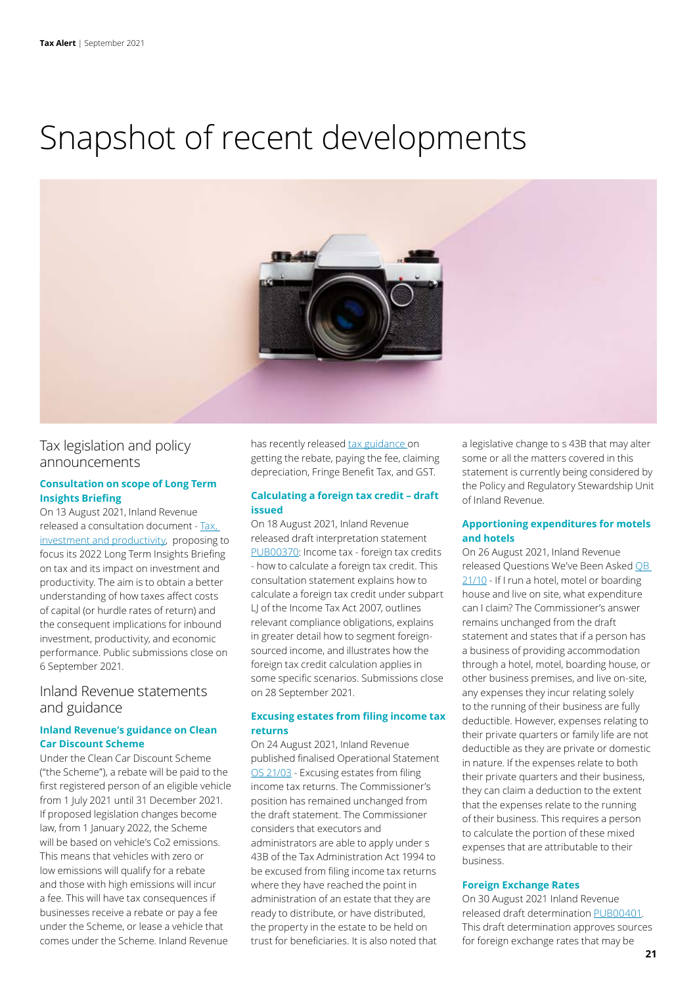# Snapshot of recent developments

![](_page_20_Picture_2.jpeg)

# Tax legislation and policy announcements

# **Consultation on scope of Long Term Insights Briefing**

On 13 August 2021, Inland Revenue released a consultation document - [Tax,](https://taxpolicy.ird.govt.nz/-/media/project/ir/tp/publications/2021/2021-other-scope-ird-ltib-tax-investment-productivity/2021-other-scope-ird-ltib-tax-investment-productivity.pdf?modified=20210813003200&modified=20210813003200)  [investment and productivity](https://taxpolicy.ird.govt.nz/-/media/project/ir/tp/publications/2021/2021-other-scope-ird-ltib-tax-investment-productivity/2021-other-scope-ird-ltib-tax-investment-productivity.pdf?modified=20210813003200&modified=20210813003200), proposing to focus its 2022 Long Term Insights Briefing on tax and its impact on investment and productivity. The aim is to obtain a better understanding of how taxes affect costs of capital (or hurdle rates of return) and the consequent implications for inbound investment, productivity, and economic performance. Public submissions close on 6 September 2021.

# Inland Revenue statements and guidance

# **Inland Revenue's guidance on Clean Car Discount Scheme**

Under the Clean Car Discount Scheme ("the Scheme"), a rebate will be paid to the first registered person of an eligible vehicle from 1 July 2021 until 31 December 2021. If proposed legislation changes become law, from 1 January 2022, the Scheme will be based on vehicle's Co2 emissions. This means that vehicles with zero or low emissions will qualify for a rebate and those with high emissions will incur a fee. This will have tax consequences if businesses receive a rebate or pay a fee under the Scheme, or lease a vehicle that comes under the Scheme. Inland Revenue

has recently released [tax guidance](https://www.ird.govt.nz/topics/clean-car-discount-scheme) on getting the rebate, paying the fee, claiming depreciation, Fringe Benefit Tax, and GST.

# **Calculating a foreign tax credit – draft issued**

On 18 August 2021, Inland Revenue released draft interpretation statement [PUB00370](https://www.taxtechnical.ird.govt.nz/-/media/project/ir/tt/pdfs/consultations/current-consultations/pub00370.pdf?modified=20210818041736&modified=20210818041736): Income tax - foreign tax credits - how to calculate a foreign tax credit. This consultation statement explains how to calculate a foreign tax credit under subpart LJ of the Income Tax Act 2007, outlines relevant compliance obligations, explains in greater detail how to segment foreignsourced income, and illustrates how the foreign tax credit calculation applies in some specific scenarios. Submissions close on 28 September 2021.

# **Excusing estates from filing income tax returns**

On 24 August 2021, Inland Revenue published finalised Operational Statement [OS 21/03](https://www.taxtechnical.ird.govt.nz/-/media/project/ir/tt/pdfs/operational-statements/2021/os-21-03.pdf?modified=20210823213029) - Excusing estates from filing income tax returns. The Commissioner's position has remained unchanged from the draft statement. The Commissioner considers that executors and administrators are able to apply under s 43B of the Tax Administration Act 1994 to be excused from filing income tax returns where they have reached the point in administration of an estate that they are ready to distribute, or have distributed, the property in the estate to be held on trust for beneficiaries. It is also noted that

a legislative change to s 43B that may alter some or all the matters covered in this statement is currently being considered by the Policy and Regulatory Stewardship Unit of Inland Revenue.

# **Apportioning expenditures for motels and hotels**

On 26 August 2021, Inland Revenue released Questions We've Been Asked [QB](https://www.taxtechnical.ird.govt.nz/-/media/project/ir/tt/pdfs/questions-we-ve-been-asked/2021/qb-21-10.pdf?modified=20210826000915)  [21/10](https://www.taxtechnical.ird.govt.nz/-/media/project/ir/tt/pdfs/questions-we-ve-been-asked/2021/qb-21-10.pdf?modified=20210826000915) - If I run a hotel, motel or boarding house and live on site, what expenditure can I claim? The Commissioner's answer remains unchanged from the draft statement and states that if a person has a business of providing accommodation through a hotel, motel, boarding house, or other business premises, and live on-site, any expenses they incur relating solely to the running of their business are fully deductible. However, expenses relating to their private quarters or family life are not deductible as they are private or domestic in nature. If the expenses relate to both their private quarters and their business, they can claim a deduction to the extent that the expenses relate to the running of their business. This requires a person to calculate the portion of these mixed expenses that are attributable to their business.

# **Foreign Exchange Rates**

On 30 August 2021 Inland Revenue released draft determination [PUB00401](https://www.taxtechnical.ird.govt.nz/-/media/project/ir/tt/pdfs/consultations/current-consultations/pub00401.pdf?modified=20210829213426&modified=20210829213426). This draft determination approves sources for foreign exchange rates that may be